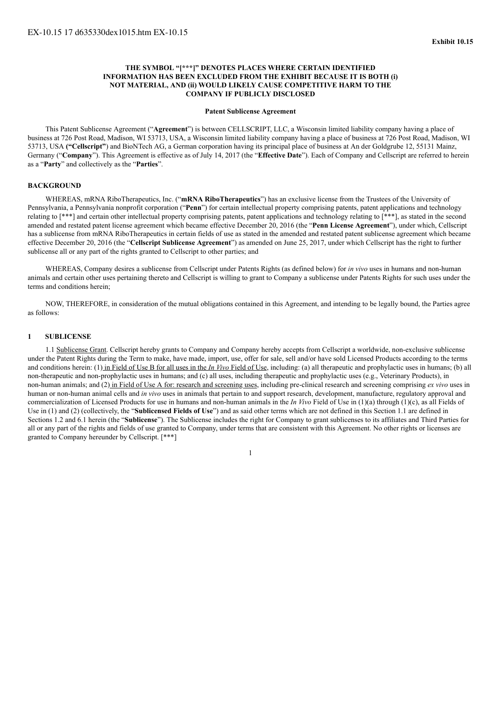## **THE SYMBOL "[\*\*\*]" DENOTES PLACES WHERE CERTAIN IDENTIFIED INFORMATION HAS BEEN EXCLUDED FROM THE EXHIBIT BECAUSE IT IS BOTH (i) NOT MATERIAL, AND (ii) WOULD LIKELY CAUSE COMPETITIVE HARM TO THE COMPANY IF PUBLICLY DISCLOSED**

#### **Patent Sublicense Agreement**

This Patent Sublicense Agreement ("**Agreement**") is between CELLSCRIPT, LLC, a Wisconsin limited liability company having a place of business at 726 Post Road, Madison, WI 53713, USA, a Wisconsin limited liability company having a place of business at 726 Post Road, Madison, WI 53713, USA **("Cellscript"**) and BioNTech AG, a German corporation having its principal place of business at An der Goldgrube 12, 55131 Mainz, Germany ("**Company**"). This Agreement is effective as of July 14, 2017 (the "**Effective Date**"). Each of Company and Cellscript are referred to herein as a "**Party**" and collectively as the "**Parties**".

## **BACKGROUND**

WHEREAS, mRNA RiboTherapeutics, Inc. ("**mRNA RiboTherapeutics**") has an exclusive license from the Trustees of the University of Pennsylvania, a Pennsylvania nonprofit corporation ("**Penn**") for certain intellectual property comprising patents, patent applications and technology relating to [\*\*\*] and certain other intellectual property comprising patents, patent applications and technology relating to [\*\*\*], as stated in the second amended and restated patent license agreement which became effective December 20, 2016 (the "**Penn License Agreement**"), under which, Cellscript has a sublicense from mRNA RiboTherapeutics in certain fields of use as stated in the amended and restated patent sublicense agreement which became effective December 20, 2016 (the "**Cellscript Sublicense Agreement**") as amended on June 25, 2017, under which Cellscript has the right to further sublicense all or any part of the rights granted to Cellscript to other parties; and

WHEREAS, Company desires a sublicense from Cellscript under Patents Rights (as defined below) for *in vivo* uses in humans and non-human animals and certain other uses pertaining thereto and Cellscript is willing to grant to Company a sublicense under Patents Rights for such uses under the terms and conditions herein;

NOW, THEREFORE, in consideration of the mutual obligations contained in this Agreement, and intending to be legally bound, the Parties agree as follows:

#### **1 SUBLICENSE**

1.1 Sublicense Grant. Cellscript hereby grants to Company and Company hereby accepts from Cellscript a worldwide, non-exclusive sublicense under the Patent Rights during the Term to make, have made, import, use, offer for sale, sell and/or have sold Licensed Products according to the terms and conditions herein: (1) in Field of Use B for all uses in the *In Vivo* Field of Use, including: (a) all therapeutic and prophylactic uses in humans; (b) all non-therapeutic and non-prophylactic uses in humans; and (c) all uses, including therapeutic and prophylactic uses (e.g., Veterinary Products), in non-human animals; and (2) in Field of Use A for: research and screening uses, including pre-clinical research and screening comprising *ex vivo* uses in human or non-human animal cells and *in vivo* uses in animals that pertain to and support research, development, manufacture, regulatory approval and commercialization of Licensed Products for use in humans and non-human animals in the *In Vivo* Field of Use in (1)(a) through (1)(c), as all Fields of Use in (1) and (2) (collectively, the "**Sublicensed Fields of Use**") and as said other terms which are not defined in this Section 1.1 are defined in Sections 1.2 and 6.1 herein (the "**Sublicense**"). The Sublicense includes the right for Company to grant sublicenses to its affiliates and Third Parties for all or any part of the rights and fields of use granted to Company, under terms that are consistent with this Agreement. No other rights or licenses are granted to Company hereunder by Cellscript. [\*\*\*]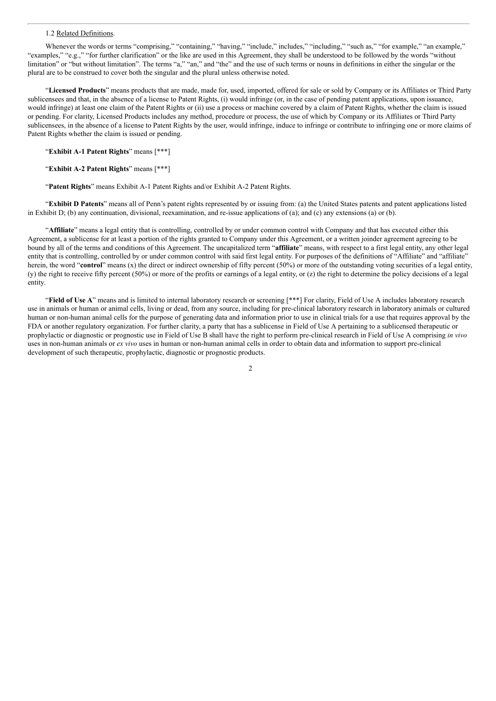### 1.2 Related Definitions.

Whenever the words or terms "comprising," "containing," "having," "includes," includes," "including," "such as," "for example," "an example," "examples," "e.g.," "for further clarification" or the like are used in this Agreement, they shall be understood to be followed by the words "without limitation" or "but without limitation". The terms "a," "an," and "the" and the use of such terms or nouns in definitions in either the singular or the plural are to be construed to cover both the singular and the plural unless otherwise noted.

"**Licensed Products**" means products that are made, made for, used, imported, offered for sale or sold by Company or its Affiliates or Third Party sublicensees and that, in the absence of a license to Patent Rights, (i) would infringe (or, in the case of pending patent applications, upon issuance, would infringe) at least one claim of the Patent Rights or (ii) use a process or machine covered by a claim of Patent Rights, whether the claim is issued or pending. For clarity, Licensed Products includes any method, procedure or process, the use of which by Company or its Affiliates or Third Party sublicensees, in the absence of a license to Patent Rights by the user, would infringe, induce to infringe or contribute to infringing one or more claims of Patent Rights whether the claim is issued or pending.

"**Exhibit A-1 Patent Rights**" means [\*\*\*]

"**Exhibit A-2 Patent Rights**" means [\*\*\*]

"**Patent Rights**" means Exhibit A-1 Patent Rights and/or Exhibit A-2 Patent Rights.

"**Exhibit D Patents**" means all of Penn's patent rights represented by or issuing from: (a) the United States patents and patent applications listed in Exhibit D; (b) any continuation, divisional, reexamination, and re-issue applications of (a); and (c) any extensions (a) or (b).

"**Affiliate**" means a legal entity that is controlling, controlled by or under common control with Company and that has executed either this Agreement, a sublicense for at least a portion of the rights granted to Company under this Agreement, or a written joinder agreement agreeing to be bound by all of the terms and conditions of this Agreement. The uncapitalized term "**affiliate**" means, with respect to a first legal entity, any other legal entity that is controlling, controlled by or under common control with said first legal entity. For purposes of the definitions of "Affiliate" and "affiliate" herein, the word "**control**" means (x) the direct or indirect ownership of fifty percent (50%) or more of the outstanding voting securities of a legal entity, (y) the right to receive fifty percent (50%) or more of the profits or earnings of a legal entity, or (z) the right to determine the policy decisions of a legal entity.

"**Field of Use A**" means and is limited to internal laboratory research or screening [\*\*\*] For clarity, Field of Use A includes laboratory research use in animals or human or animal cells, living or dead, from any source, including for pre-clinical laboratory research in laboratory animals or cultured human or non-human animal cells for the purpose of generating data and information prior to use in clinical trials for a use that requires approval by the FDA or another regulatory organization. For further clarity, a party that has a sublicense in Field of Use A pertaining to a sublicensed therapeutic or prophylactic or diagnostic or prognostic use in Field of Use B shall have the right to perform pre-clinical research in Field of Use A comprising *in vivo* uses in non-human animals or *ex vivo* uses in human or non-human animal cells in order to obtain data and information to support pre-clinical development of such therapeutic, prophylactic, diagnostic or prognostic products.

 $\mathcal{L}$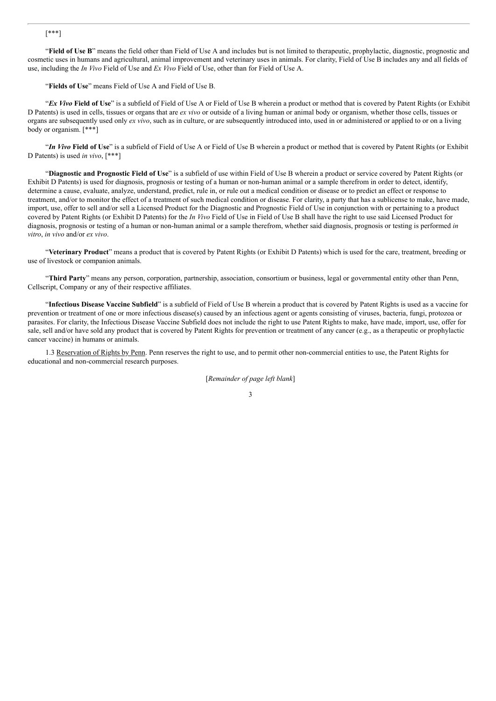## [\*\*\*]

"**Field of Use B**" means the field other than Field of Use A and includes but is not limited to therapeutic, prophylactic, diagnostic, prognostic and cosmetic uses in humans and agricultural, animal improvement and veterinary uses in animals. For clarity, Field of Use B includes any and all fields of use, including the *In Vivo* Field of Use and *Ex Vivo* Field of Use, other than for Field of Use A.

"**Fields of Use**" means Field of Use A and Field of Use B.

"*Ex Vivo* **Field of Use**" is a subfield of Field of Use A or Field of Use B wherein a product or method that is covered by Patent Rights (or Exhibit D Patents) is used in cells, tissues or organs that are *ex vivo* or outside of a living human or animal body or organism, whether those cells, tissues or organs are subsequently used only *ex vivo*, such as in culture, or are subsequently introduced into, used in or administered or applied to or on a living body or organism. [\*\*\*]

"*In Vivo* **Field of Use**" is a subfield of Field of Use A or Field of Use B wherein a product or method that is covered by Patent Rights (or Exhibit D Patents) is used *in vivo*, [\*\*\*]

"**Diagnostic and Prognostic Field of Use**" is a subfield of use within Field of Use B wherein a product or service covered by Patent Rights (or Exhibit D Patents) is used for diagnosis, prognosis or testing of a human or non-human animal or a sample therefrom in order to detect, identify, determine a cause, evaluate, analyze, understand, predict, rule in, or rule out a medical condition or disease or to predict an effect or response to treatment, and/or to monitor the effect of a treatment of such medical condition or disease. For clarity, a party that has a sublicense to make, have made, import, use, offer to sell and/or sell a Licensed Product for the Diagnostic and Prognostic Field of Use in conjunction with or pertaining to a product covered by Patent Rights (or Exhibit D Patents) for the *In Vivo* Field of Use in Field of Use B shall have the right to use said Licensed Product for diagnosis, prognosis or testing of a human or non-human animal or a sample therefrom, whether said diagnosis, prognosis or testing is performed *in vitro*, *in vivo* and/or *ex vivo*.

"**Veterinary Product**" means a product that is covered by Patent Rights (or Exhibit D Patents) which is used for the care, treatment, breeding or use of livestock or companion animals.

"**Third Party**" means any person, corporation, partnership, association, consortium or business, legal or governmental entity other than Penn, Cellscript, Company or any of their respective affiliates.

"**Infectious Disease Vaccine Subfield**" is a subfield of Field of Use B wherein a product that is covered by Patent Rights is used as a vaccine for prevention or treatment of one or more infectious disease(s) caused by an infectious agent or agents consisting of viruses, bacteria, fungi, protozoa or parasites. For clarity, the Infectious Disease Vaccine Subfield does not include the right to use Patent Rights to make, have made, import, use, offer for sale, sell and/or have sold any product that is covered by Patent Rights for prevention or treatment of any cancer (e.g., as a therapeutic or prophylactic cancer vaccine) in humans or animals.

1.3 Reservation of Rights by Penn. Penn reserves the right to use, and to permit other non-commercial entities to use, the Patent Rights for educational and non-commercial research purposes.

[*Remainder of page left blank*]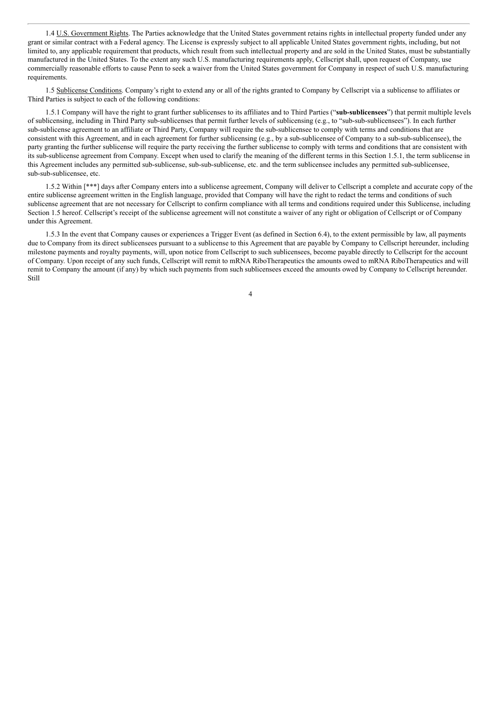1.4 U.S. Government Rights. The Parties acknowledge that the United States government retains rights in intellectual property funded under any grant or similar contract with a Federal agency. The License is expressly subject to all applicable United States government rights, including, but not limited to, any applicable requirement that products, which result from such intellectual property and are sold in the United States, must be substantially manufactured in the United States. To the extent any such U.S. manufacturing requirements apply, Cellscript shall, upon request of Company, use commercially reasonable efforts to cause Penn to seek a waiver from the United States government for Company in respect of such U.S. manufacturing requirements.

1.5 Sublicense Conditions. Company's right to extend any or all of the rights granted to Company by Cellscript via a sublicense to affiliates or Third Parties is subject to each of the following conditions:

1.5.1 Company will have the right to grant further sublicenses to its affiliates and to Third Parties ("**sub-sublicensees**") that permit multiple levels of sublicensing, including in Third Party sub-sublicenses that permit further levels of sublicensing (e.g., to "sub-sub-sublicensees"). In each further sub-sublicense agreement to an affiliate or Third Party, Company will require the sub-sublicensee to comply with terms and conditions that are consistent with this Agreement, and in each agreement for further sublicensing  $(e.g., by a sub-sublicense of Company to a sub-sub-sub-sublicensee)$ , the party granting the further sublicense will require the party receiving the further sublicense to comply with terms and conditions that are consistent with its sub-sublicense agreement from Company. Except when used to clarify the meaning of the different terms in this Section 1.5.1, the term sublicense in this Agreement includes any permitted sub-sublicense, sub-sub-sublicense, etc. and the term sublicensee includes any permitted sub-sublicensee, sub-sub-sublicensee, etc.

1.5.2 Within [\*\*\*] days after Company enters into a sublicense agreement, Company will deliver to Cellscript a complete and accurate copy of the entire sublicense agreement written in the English language, provided that Company will have the right to redact the terms and conditions of such sublicense agreement that are not necessary for Cellscript to confirm compliance with all terms and conditions required under this Sublicense, including Section 1.5 hereof. Cellscript's receipt of the sublicense agreement will not constitute a waiver of any right or obligation of Cellscript or of Company under this Agreement.

1.5.3 In the event that Company causes or experiences a Trigger Event (as defined in Section 6.4), to the extent permissible by law, all payments due to Company from its direct sublicensees pursuant to a sublicense to this Agreement that are payable by Company to Cellscript hereunder, including milestone payments and royalty payments, will, upon notice from Cellscript to such sublicensees, become payable directly to Cellscript for the account of Company. Upon receipt of any such funds, Cellscript will remit to mRNA RiboTherapeutics the amounts owed to mRNA RiboTherapeutics and will remit to Company the amount (if any) by which such payments from such sublicensees exceed the amounts owed by Company to Cellscript hereunder. Still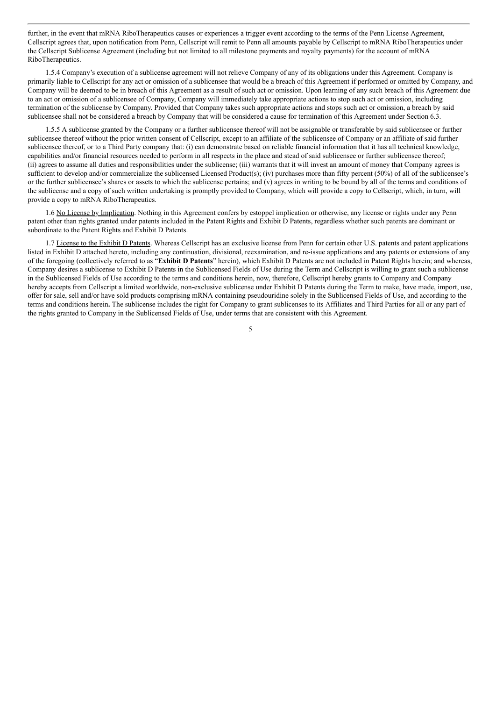further, in the event that mRNA RiboTherapeutics causes or experiences a trigger event according to the terms of the Penn License Agreement. Cellscript agrees that, upon notification from Penn, Cellscript will remit to Penn all amounts payable by Cellscript to mRNA RiboTherapeutics under the Cellscript Sublicense Agreement (including but not limited to all milestone payments and royalty payments) for the account of mRNA RiboTherapeutics.

1.5.4 Company's execution of a sublicense agreement will not relieve Company of any of its obligations under this Agreement. Company is primarily liable to Cellscript for any act or omission of a sublicensee that would be a breach of this Agreement if performed or omitted by Company, and Company will be deemed to be in breach of this Agreement as a result of such act or omission. Upon learning of any such breach of this Agreement due to an act or omission of a sublicensee of Company, Company will immediately take appropriate actions to stop such act or omission, including termination of the sublicense by Company. Provided that Company takes such appropriate actions and stops such act or omission, a breach by said sublicensee shall not be considered a breach by Company that will be considered a cause for termination of this Agreement under Section 6.3.

1.5.5 A sublicense granted by the Company or a further sublicensee thereof will not be assignable or transferable by said sublicensee or further sublicensee thereof without the prior written consent of Cellscript, except to an affiliate of the sublicensee of Company or an affiliate of said further sublicensee thereof, or to a Third Party company that: (i) can demonstrate based on reliable financial information that it has all technical knowledge, capabilities and/or financial resources needed to perform in all respects in the place and stead of said sublicensee or further sublicensee thereof; (ii) agrees to assume all duties and responsibilities under the sublicense; (iii) warrants that it will invest an amount of money that Company agrees is sufficient to develop and/or commercialize the sublicensed Licensed Product(s); (iv) purchases more than fifty percent (50%) of all of the sublicensee's or the further sublicensee's shares or assets to which the sublicense pertains; and (v) agrees in writing to be bound by all of the terms and conditions of the sublicense and a copy of such written undertaking is promptly provided to Company, which will provide a copy to Cellscript, which, in turn, will provide a copy to mRNA RiboTherapeutics.

1.6 No License by Implication. Nothing in this Agreement confers by estoppel implication or otherwise, any license or rights under any Penn patent other than rights granted under patents included in the Patent Rights and Exhibit D Patents, regardless whether such patents are dominant or subordinate to the Patent Rights and Exhibit D Patents.

1.7 License to the Exhibit D Patents. Whereas Cellscript has an exclusive license from Penn for certain other U.S. patents and patent applications listed in Exhibit D attached hereto, including any continuation, divisional, reexamination, and re-issue applications and any patents or extensions of any of the foregoing (collectively referred to as "**Exhibit D Patents**" herein), which Exhibit D Patents are not included in Patent Rights herein; and whereas, Company desires a sublicense to Exhibit D Patents in the Sublicensed Fields of Use during the Term and Cellscript is willing to grant such a sublicense in the Sublicensed Fields of Use according to the terms and conditions herein, now, therefore, Cellscript hereby grants to Company and Company hereby accepts from Cellscript a limited worldwide, non-exclusive sublicense under Exhibit D Patents during the Term to make, have made, import, use, offer for sale, sell and/or have sold products comprising mRNA containing pseudouridine solely in the Sublicensed Fields of Use, and according to the terms and conditions herein**.** The sublicense includes the right for Company to grant sublicenses to its Affiliates and Third Parties for all or any part of the rights granted to Company in the Sublicensed Fields of Use, under terms that are consistent with this Agreement.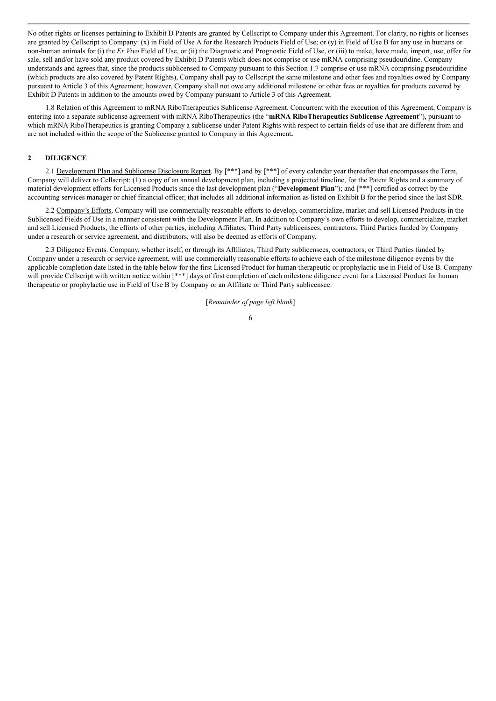No other rights or licenses pertaining to Exhibit D Patents are granted by Cellscript to Company under this Agreement. For clarity, no rights or licenses are granted by Cellscript to Company: (x) in Field of Use A for the Research Products Field of Use; or (y) in Field of Use B for any use in humans or non-human animals for (i) the *Ex Vivo* Field of Use, or (ii) the Diagnostic and Prognostic Field of Use, or (iii) to make, have made, import, use, offer for sale, sell and/or have sold any product covered by Exhibit D Patents which does not comprise or use mRNA comprising pseudouridine. Company understands and agrees that, since the products sublicensed to Company pursuant to this Section 1.7 comprise or use mRNA comprising pseudouridine (which products are also covered by Patent Rights), Company shall pay to Cellscript the same milestone and other fees and royalties owed by Company pursuant to Article 3 of this Agreement; however, Company shall not owe any additional milestone or other fees or royalties for products covered by Exhibit D Patents in addition to the amounts owed by Company pursuant to Article 3 of this Agreement.

1.8 Relation of this Agreement to mRNA RiboTherapeutics Sublicense Agreement. Concurrent with the execution of this Agreement, Company is entering into a separate sublicense agreement with mRNA RiboTherapeutics (the "**mRNA RiboTherapeutics Sublicense Agreement**"), pursuant to which mRNA RiboTherapeutics is granting Company a sublicense under Patent Rights with respect to certain fields of use that are different from and are not included within the scope of the Sublicense granted to Company in this Agreement**.**

#### **2 DILIGENCE**

2.1 Development Plan and Sublicense Disclosure Report. By [\*\*\*] and by [\*\*\*] of every calendar year thereafter that encompasses the Term, Company will deliver to Cellscript: (1) a copy of an annual development plan, including a projected timeline, for the Patent Rights and a summary of material development efforts for Licensed Products since the last development plan ("**Development Plan**"); and [\*\*\*] certified as correct by the accounting services manager or chief financial officer, that includes all additional information as listed on Exhibit B for the period since the last SDR.

2.2 Company's Efforts. Company will use commercially reasonable efforts to develop, commercialize, market and sell Licensed Products in the Sublicensed Fields of Use in a manner consistent with the Development Plan. In addition to Company's own efforts to develop, commercialize, market and sell Licensed Products, the efforts of other parties, including Affiliates, Third Party sublicensees, contractors, Third Parties funded by Company under a research or service agreement, and distributors, will also be deemed as efforts of Company.

2.3 Diligence Events. Company, whether itself, or through its Affiliates, Third Party sublicensees, contractors, or Third Parties funded by Company under a research or service agreement, will use commercially reasonable efforts to achieve each of the milestone diligence events by the applicable completion date listed in the table below for the first Licensed Product for human therapeutic or prophylactic use in Field of Use B. Company will provide Cellscript with written notice within [\*\*\*] days of first completion of each milestone diligence event for a Licensed Product for human therapeutic or prophylactic use in Field of Use B by Company or an Affiliate or Third Party sublicensee.

[*Remainder of page left blank*]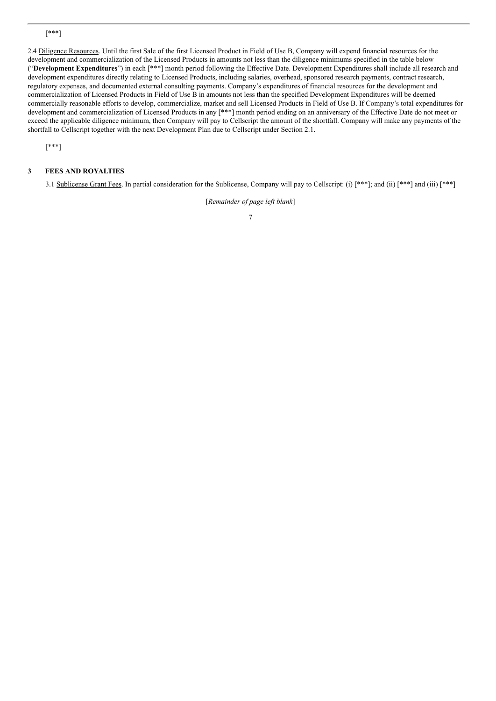# [\*\*\*]

2.4 Diligence Resources. Until the first Sale of the first Licensed Product in Field of Use B, Company will expend financial resources for the development and commercialization of the Licensed Products in amounts not less than the diligence minimums specified in the table below ("**Development Expenditures**") in each [\*\*\*] month period following the Effective Date. Development Expenditures shall include all research and development expenditures directly relating to Licensed Products, including salaries, overhead, sponsored research payments, contract research, regulatory expenses, and documented external consulting payments. Company's expenditures of financial resources for the development and commercialization of Licensed Products in Field of Use B in amounts not less than the specified Development Expenditures will be deemed commercially reasonable efforts to develop, commercialize, market and sell Licensed Products in Field of Use B. If Company's total expenditures for development and commercialization of Licensed Products in any [\*\*\*] month period ending on an anniversary of the Effective Date do not meet or exceed the applicable diligence minimum, then Company will pay to Cellscript the amount of the shortfall. Company will make any payments of the shortfall to Cellscript together with the next Development Plan due to Cellscript under Section 2.1.

[\*\*\*]

# **3 FEES AND ROYALTIES**

3.1 Sublicense Grant Fees. In partial consideration for the Sublicense, Company will pay to Cellscript: (i) [\*\*\*]; and (ii) [\*\*\*] and (iii) [\*\*\*]

[*Remainder of page left blank*] 7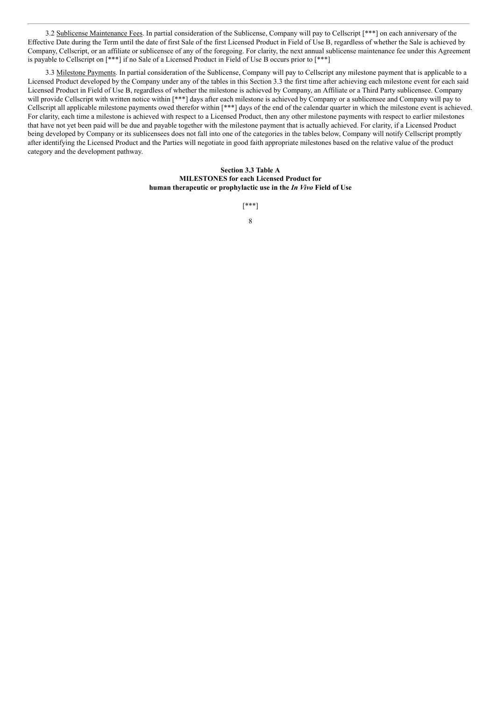3.2 Sublicense Maintenance Fees. In partial consideration of the Sublicense, Company will pay to Cellscript [\*\*\*] on each anniversary of the Effective Date during the Term until the date of first Sale of the first Licensed Product in Field of Use B, regardless of whether the Sale is achieved by Company, Cellscript, or an affiliate or sublicensee of any of the foregoing. For clarity, the next annual sublicense maintenance fee under this Agreement is payable to Cellscript on [\*\*\*] if no Sale of a Licensed Product in Field of Use B occurs prior to [\*\*\*]

3.3 Milestone Payments. In partial consideration of the Sublicense, Company will pay to Cellscript any milestone payment that is applicable to a Licensed Product developed by the Company under any of the tables in this Section 3.3 the first time after achieving each milestone event for each said Licensed Product in Field of Use B, regardless of whether the milestone is achieved by Company, an Affiliate or a Third Party sublicensee. Company will provide Cellscript with written notice within [\*\*\*] days after each milestone is achieved by Company or a sublicensee and Company will pay to Cellscript all applicable milestone payments owed therefor within [\*\*\*] days of the end of the calendar quarter in which the milestone event is achieved. For clarity, each time a milestone is achieved with respect to a Licensed Product, then any other milestone payments with respect to earlier milestones that have not yet been paid will be due and payable together with the milestone payment that is actually achieved. For clarity, if a Licensed Product being developed by Company or its sublicensees does not fall into one of the categories in the tables below, Company will notify Cellscript promptly after identifying the Licensed Product and the Parties will negotiate in good faith appropriate milestones based on the relative value of the product category and the development pathway.

> **Section 3.3 Table A MILESTONES for each Licensed Product for human therapeutic or prophylactic use in the** *In Vivo* **Field of Use**

> > [\*\*\*] 8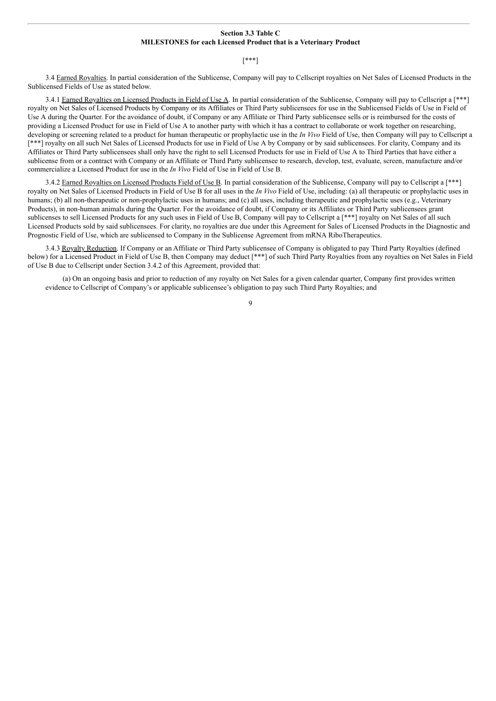#### **Section 3.3 Table C MILESTONES for each Licensed Product that is a Veterinary Product**

#### [\*\*\*]

3.4 Earned Royalties. In partial consideration of the Sublicense, Company will pay to Cellscript royalties on Net Sales of Licensed Products in the Sublicensed Fields of Use as stated below.

3.4.1 Earned Royalties on Licensed Products in Field of Use A. In partial consideration of the Sublicense, Company will pay to Cellscript a [\*\*\*] royalty on Net Sales of Licensed Products by Company or its Affiliates or Third Party sublicensees for use in the Sublicensed Fields of Use in Field of Use A during the Quarter. For the avoidance of doubt, if Company or any Affiliate or Third Party sublicensee sells or is reimbursed for the costs of providing a Licensed Product for use in Field of Use A to another party with which it has a contract to collaborate or work together on researching, developing or screening related to a product for human therapeutic or prophylactic use in the *In Vivo* Field of Use, then Company will pay to Cellscript a [\*\*\*] royalty on all such Net Sales of Licensed Products for use in Field of Use A by Company or by said sublicensees. For clarity, Company and its Affiliates or Third Party sublicensees shall only have the right to sell Licensed Products for use in Field of Use A to Third Parties that have either a sublicense from or a contract with Company or an Affiliate or Third Party sublicensee to research, develop, test, evaluate, screen, manufacture and/or commercialize a Licensed Product for use in the *In Vivo* Field of Use in Field of Use B.

3.4.2 Earned Royalties on Licensed Products Field of Use B. In partial consideration of the Sublicense, Company will pay to Cellscript a [\*\*\*] royalty on Net Sales of Licensed Products in Field of Use B for all uses in the *In Vivo* Field of Use, including: (a) all therapeutic or prophylactic uses in humans; (b) all non-therapeutic or non-prophylactic uses in humans; and (c) all uses, including therapeutic and prophylactic uses (e.g., Veterinary Products), in non-human animals during the Quarter. For the avoidance of doubt, if Company or its Affiliates or Third Party sublicensees grant sublicenses to sell Licensed Products for any such uses in Field of Use B, Company will pay to Cellscript a [\*\*\*] royalty on Net Sales of all such Licensed Products sold by said sublicensees. For clarity, no royalties are due under this Agreement for Sales of Licensed Products in the Diagnostic and Prognostic Field of Use, which are sublicensed to Company in the Sublicense Agreement from mRNA RiboTherapeutics.

3.4.3 Royalty Reduction. If Company or an Affiliate or Third Party sublicensee of Company is obligated to pay Third Party Royalties (defined below) for a Licensed Product in Field of Use B, then Company may deduct [\*\*\*] of such Third Party Royalties from any royalties on Net Sales in Field of Use B due to Cellscript under Section 3.4.2 of this Agreement, provided that:

(a) On an ongoing basis and prior to reduction of any royalty on Net Sales for a given calendar quarter, Company first provides written evidence to Cellscript of Company's or applicable sublicensee's obligation to pay such Third Party Royalties; and

 $\overline{Q}$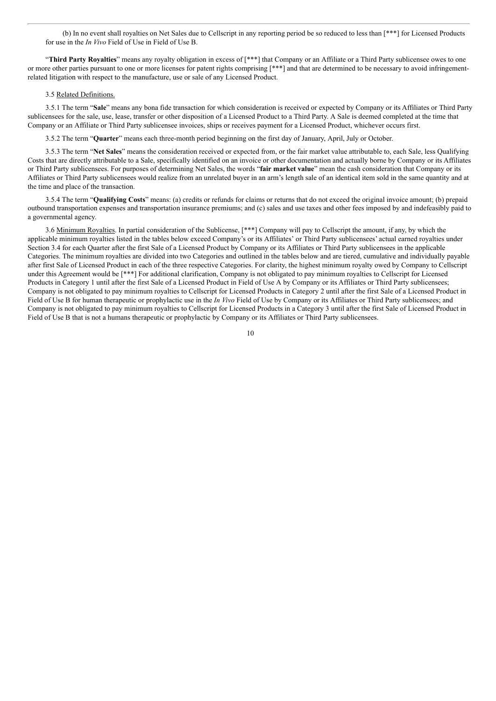(b) In no event shall royalties on Net Sales due to Cellscript in any reporting period be so reduced to less than [\*\*\*] for Licensed Products for use in the *In Vivo* Field of Use in Field of Use B.

"**Third Party Royalties**" means any royalty obligation in excess of [\*\*\*] that Company or an Affiliate or a Third Party sublicensee owes to one or more other parties pursuant to one or more licenses for patent rights comprising [\*\*\*] and that are determined to be necessary to avoid infringementrelated litigation with respect to the manufacture, use or sale of any Licensed Product.

#### 3.5 Related Definitions.

3.5.1 The term "**Sale**" means any bona fide transaction for which consideration is received or expected by Company or its Affiliates or Third Party sublicensees for the sale, use, lease, transfer or other disposition of a Licensed Product to a Third Party. A Sale is deemed completed at the time that Company or an Affiliate or Third Party sublicensee invoices, ships or receives payment for a Licensed Product, whichever occurs first.

3.5.2 The term "**Quarter**" means each three-month period beginning on the first day of January, April, July or October.

3.5.3 The term "**Net Sales**" means the consideration received or expected from, or the fair market value attributable to, each Sale, less Qualifying Costs that are directly attributable to a Sale, specifically identified on an invoice or other documentation and actually borne by Company or its Affiliates or Third Party sublicensees. For purposes of determining Net Sales, the words "**fair market value**" mean the cash consideration that Company or its Affiliates or Third Party sublicensees would realize from an unrelated buyer in an arm's length sale of an identical item sold in the same quantity and at the time and place of the transaction.

3.5.4 The term "**Qualifying Costs**" means: (a) credits or refunds for claims or returns that do not exceed the original invoice amount; (b) prepaid outbound transportation expenses and transportation insurance premiums; and (c) sales and use taxes and other fees imposed by and indefeasibly paid to a governmental agency.

3.6 Minimum Royalties. In partial consideration of the Sublicense, [\*\*\*] Company will pay to Cellscript the amount, if any, by which the applicable minimum royalties listed in the tables below exceed Company's or its Affiliates' or Third Party sublicensees' actual earned royalties under Section 3.4 for each Quarter after the first Sale of a Licensed Product by Company or its Affiliates or Third Party sublicensees in the applicable Categories. The minimum royalties are divided into two Categories and outlined in the tables below and are tiered, cumulative and individually payable after first Sale of Licensed Product in each of the three respective Categories. For clarity, the highest minimum royalty owed by Company to Cellscript under this Agreement would be [\*\*\*] For additional clarification, Company is not obligated to pay minimum royalties to Cellscript for Licensed Products in Category 1 until after the first Sale of a Licensed Product in Field of Use A by Company or its Affiliates or Third Party sublicensees; Company is not obligated to pay minimum royalties to Cellscript for Licensed Products in Category 2 until after the first Sale of a Licensed Product in Field of Use B for human therapeutic or prophylactic use in the *In Vivo* Field of Use by Company or its Affiliates or Third Party sublicensees; and Company is not obligated to pay minimum royalties to Cellscript for Licensed Products in a Category 3 until after the first Sale of Licensed Product in Field of Use B that is not a humans therapeutic or prophylactic by Company or its Affiliates or Third Party sublicensees.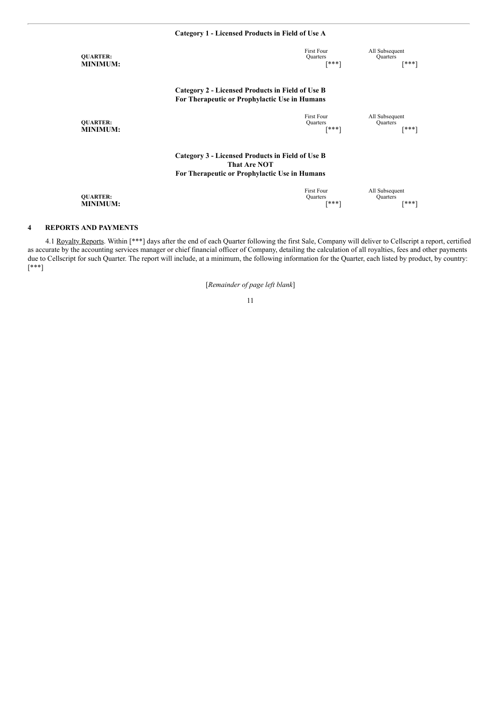|                                    | Category 1 - Licensed Products in Field of Use A                                                                         |                                        |                                            |  |
|------------------------------------|--------------------------------------------------------------------------------------------------------------------------|----------------------------------------|--------------------------------------------|--|
| <b>QUARTER:</b><br><b>MINIMUM:</b> |                                                                                                                          | <b>First Four</b><br>Quarters<br>[***] | All Subsequent<br><b>Quarters</b><br>[***] |  |
|                                    | Category 2 - Licensed Products in Field of Use B<br>For Therapeutic or Prophylactic Use in Humans                        |                                        |                                            |  |
| <b>OUARTER:</b><br><b>MINIMUM:</b> |                                                                                                                          | <b>First Four</b><br>Quarters<br>[***] | All Subsequent<br><b>Quarters</b><br>[***] |  |
|                                    | Category 3 - Licensed Products in Field of Use B<br><b>That Are NOT</b><br>For Therapeutic or Prophylactic Use in Humans |                                        |                                            |  |
| <b>OUARTER:</b><br><b>MINIMUM:</b> |                                                                                                                          | <b>First Four</b><br>Quarters<br>[***] | All Subsequent<br><b>Quarters</b><br>[***] |  |

# **4 REPORTS AND PAYMENTS**

4.1 Royalty Reports. Within [\*\*\*] days after the end of each Quarter following the first Sale, Company will deliver to Cellscript a report, certified as accurate by the accounting services manager or chief financial officer of Company, detailing the calculation of all royalties, fees and other payments due to Cellscript for such Quarter. The report will include, at a minimum, the following information for the Quarter, each listed by product, by country: [\*\*\*]

[*Remainder of page left blank*]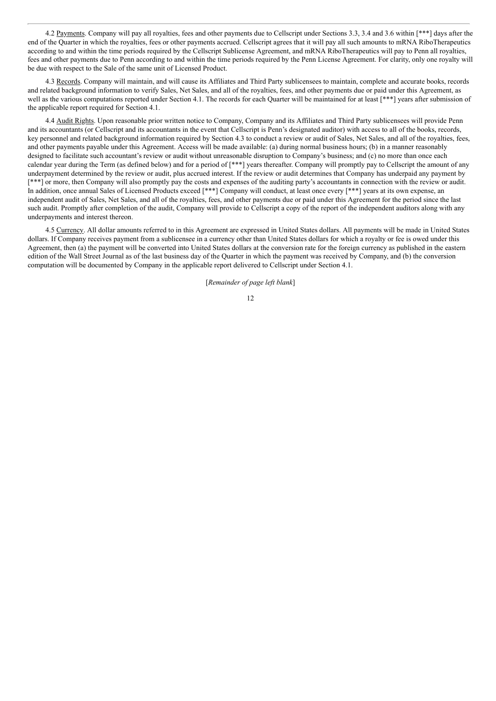4.2 Payments. Company will pay all royalties, fees and other payments due to Cellscript under Sections 3.3, 3.4 and 3.6 within [\*\*\*] days after the end of the Quarter in which the royalties, fees or other payments accrued. Cellscript agrees that it will pay all such amounts to mRNA RiboTherapeutics according to and within the time periods required by the Cellscript Sublicense Agreement, and mRNA RiboTherapeutics will pay to Penn all royalties, fees and other payments due to Penn according to and within the time periods required by the Penn License Agreement. For clarity, only one royalty will be due with respect to the Sale of the same unit of Licensed Product.

4.3 Records. Company will maintain, and will cause its Affiliates and Third Party sublicensees to maintain, complete and accurate books, records and related background information to verify Sales, Net Sales, and all of the royalties, fees, and other payments due or paid under this Agreement, as well as the various computations reported under Section 4.1. The records for each Quarter will be maintained for at least [\*\*\*] years after submission of the applicable report required for Section 4.1.

4.4 Audit Rights. Upon reasonable prior written notice to Company, Company and its Affiliates and Third Party sublicensees will provide Penn and its accountants (or Cellscript and its accountants in the event that Cellscript is Penn's designated auditor) with access to all of the books, records, key personnel and related background information required by Section 4.3 to conduct a review or audit of Sales, Net Sales, and all of the royalties, fees, and other payments payable under this Agreement. Access will be made available: (a) during normal business hours; (b) in a manner reasonably designed to facilitate such accountant's review or audit without unreasonable disruption to Company's business; and (c) no more than once each calendar year during the Term (as defined below) and for a period of [\*\*\*] years thereafter. Company will promptly pay to Cellscript the amount of any underpayment determined by the review or audit, plus accrued interest. If the review or audit determines that Company has underpaid any payment by [\*\*\*] or more, then Company will also promptly pay the costs and expenses of the auditing party's accountants in connection with the review or audit. In addition, once annual Sales of Licensed Products exceed [\*\*\*] Company will conduct, at least once every [\*\*\*] years at its own expense, an independent audit of Sales, Net Sales, and all of the royalties, fees, and other payments due or paid under this Agreement for the period since the last such audit. Promptly after completion of the audit, Company will provide to Cellscript a copy of the report of the independent auditors along with any underpayments and interest thereon.

4.5 Currency. All dollar amounts referred to in this Agreement are expressed in United States dollars. All payments will be made in United States dollars. If Company receives payment from a sublicensee in a currency other than United States dollars for which a royalty or fee is owed under this Agreement, then (a) the payment will be converted into United States dollars at the conversion rate for the foreign currency as published in the eastern edition of the Wall Street Journal as of the last business day of the Quarter in which the payment was received by Company, and (b) the conversion computation will be documented by Company in the applicable report delivered to Cellscript under Section 4.1.

[*Remainder of page left blank*]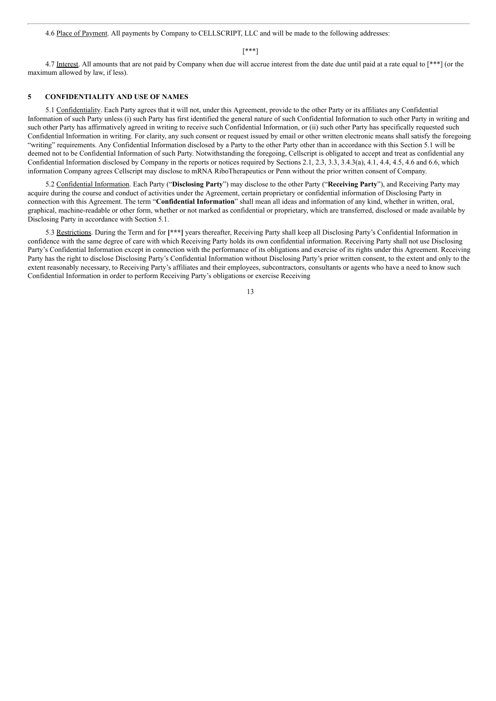4.6 Place of Payment. All payments by Company to CELLSCRIPT, LLC and will be made to the following addresses:

#### [\*\*\*]

4.7 Interest. All amounts that are not paid by Company when due will accrue interest from the date due until paid at a rate equal to [\*\*\*] (or the maximum allowed by law, if less).

## **5 CONFIDENTIALITY AND USE OF NAMES**

5.1 Confidentiality. Each Party agrees that it will not, under this Agreement, provide to the other Party or its affiliates any Confidential Information of such Party unless (i) such Party has first identified the general nature of such Confidential Information to such other Party in writing and such other Party has affirmatively agreed in writing to receive such Confidential Information, or (ii) such other Party has specifically requested such Confidential Information in writing. For clarity, any such consent or request issued by email or other written electronic means shall satisfy the foregoing "writing" requirements. Any Confidential Information disclosed by a Party to the other Party other than in accordance with this Section 5.1 will be deemed not to be Confidential Information of such Party. Notwithstanding the foregoing, Cellscript is obligated to accept and treat as confidential any Confidential Information disclosed by Company in the reports or notices required by Sections 2.1, 2.3, 3.3, 3.4.3(a), 4.1, 4.4, 4.5, 4.6 and 6.6, which information Company agrees Cellscript may disclose to mRNA RiboTherapeutics or Penn without the prior written consent of Company.

5.2 Confidential Information. Each Party ("**Disclosing Party**") may disclose to the other Party ("**Receiving Party**"), and Receiving Party may acquire during the course and conduct of activities under the Agreement, certain proprietary or confidential information of Disclosing Party in connection with this Agreement. The term "**Confidential Information**" shall mean all ideas and information of any kind, whether in written, oral, graphical, machine-readable or other form, whether or not marked as confidential or proprietary, which are transferred, disclosed or made available by Disclosing Party in accordance with Section 5.1.

5.3 Restrictions. During the Term and for **[\*\*\*]** years thereafter, Receiving Party shall keep all Disclosing Party's Confidential Information in confidence with the same degree of care with which Receiving Party holds its own confidential information. Receiving Party shall not use Disclosing Party's Confidential Information except in connection with the performance of its obligations and exercise of its rights under this Agreement. Receiving Party has the right to disclose Disclosing Party's Confidential Information without Disclosing Party's prior written consent, to the extent and only to the extent reasonably necessary, to Receiving Party's affiliates and their employees, subcontractors, consultants or agents who have a need to know such Confidential Information in order to perform Receiving Party's obligations or exercise Receiving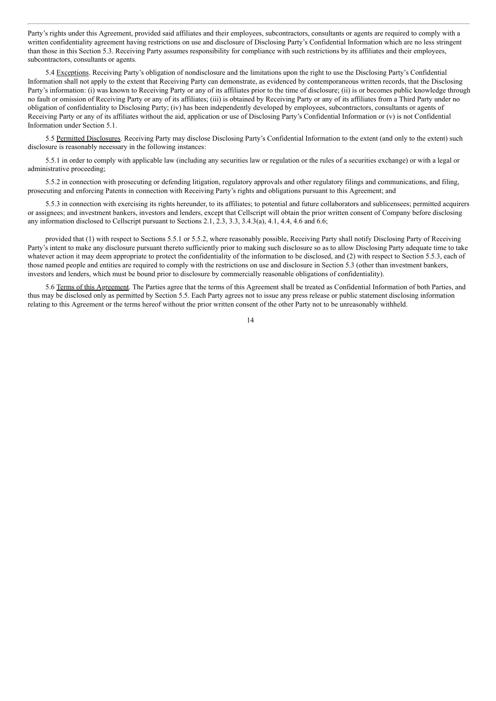Party's rights under this Agreement, provided said affiliates and their employees, subcontractors, consultants or agents are required to comply with a written confidentiality agreement having restrictions on use and disclosure of Disclosing Party's Confidential Information which are no less stringent than those in this Section 5.3. Receiving Party assumes responsibility for compliance with such restrictions by its affiliates and their employees, subcontractors, consultants or agents.

5.4 Exceptions. Receiving Party's obligation of nondisclosure and the limitations upon the right to use the Disclosing Party's Confidential Information shall not apply to the extent that Receiving Party can demonstrate, as evidenced by contemporaneous written records, that the Disclosing Party's information: (i) was known to Receiving Party or any of its affiliates prior to the time of disclosure; (ii) is or becomes public knowledge through no fault or omission of Receiving Party or any of its affiliates; (iii) is obtained by Receiving Party or any of its affiliates from a Third Party under no obligation of confidentiality to Disclosing Party; (iv) has been independently developed by employees, subcontractors, consultants or agents of Receiving Party or any of its affiliates without the aid, application or use of Disclosing Party's Confidential Information or (v) is not Confidential Information under Section 5.1.

5.5 Permitted Disclosures. Receiving Party may disclose Disclosing Party's Confidential Information to the extent (and only to the extent) such disclosure is reasonably necessary in the following instances:

5.5.1 in order to comply with applicable law (including any securities law or regulation or the rules of a securities exchange) or with a legal or administrative proceeding;

5.5.2 in connection with prosecuting or defending litigation, regulatory approvals and other regulatory filings and communications, and filing, prosecuting and enforcing Patents in connection with Receiving Party's rights and obligations pursuant to this Agreement; and

5.5.3 in connection with exercising its rights hereunder, to its affiliates; to potential and future collaborators and sublicensees; permitted acquirers or assignees; and investment bankers, investors and lenders, except that Cellscript will obtain the prior written consent of Company before disclosing any information disclosed to Cellscript pursuant to Sections 2.1, 2.3, 3.3, 3.4.3(a), 4.1, 4.4, 4.6 and 6.6;

provided that (1) with respect to Sections 5.5.1 or 5.5.2, where reasonably possible, Receiving Party shall notify Disclosing Party of Receiving Party's intent to make any disclosure pursuant thereto sufficiently prior to making such disclosure so as to allow Disclosing Party adequate time to take whatever action it may deem appropriate to protect the confidentiality of the information to be disclosed, and (2) with respect to Section 5.5.3, each of those named people and entities are required to comply with the restrictions on use and disclosure in Section 5.3 (other than investment bankers, investors and lenders, which must be bound prior to disclosure by commercially reasonable obligations of confidentiality).

5.6 Terms of this Agreement. The Parties agree that the terms of this Agreement shall be treated as Confidential Information of both Parties, and thus may be disclosed only as permitted by Section 5.5. Each Party agrees not to issue any press release or public statement disclosing information relating to this Agreement or the terms hereof without the prior written consent of the other Party not to be unreasonably withheld.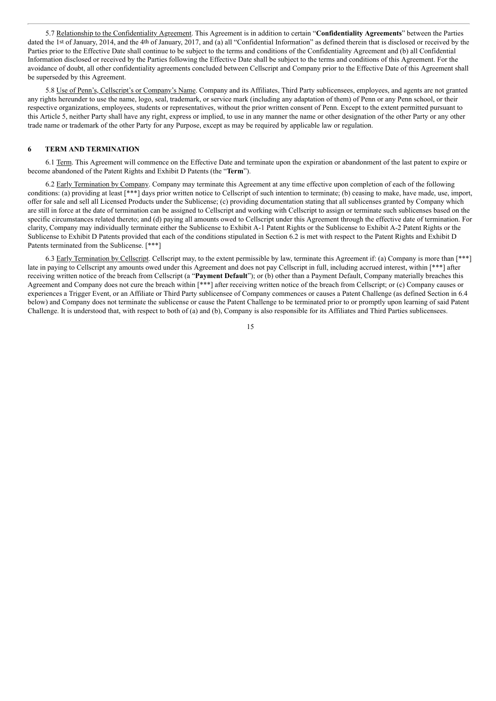5.7 Relationship to the Confidentiality Agreement. This Agreement is in addition to certain "**Confidentiality Agreements**" between the Parties dated the 1st of January, 2014, and the 4th of January, 2017, and (a) all "Confidential Information" as defined therein that is disclosed or received by the Parties prior to the Effective Date shall continue to be subject to the terms and conditions of the Confidentiality Agreement and (b) all Confidential Information disclosed or received by the Parties following the Effective Date shall be subject to the terms and conditions of this Agreement. For the avoidance of doubt, all other confidentiality agreements concluded between Cellscript and Company prior to the Effective Date of this Agreement shall be superseded by this Agreement.

5.8 Use of Penn's, Cellscript's or Company's Name. Company and its Affiliates, Third Party sublicensees, employees, and agents are not granted any rights hereunder to use the name, logo, seal, trademark, or service mark (including any adaptation of them) of Penn or any Penn school, or their respective organizations, employees, students or representatives, without the prior written consent of Penn. Except to the extent permitted pursuant to this Article 5, neither Party shall have any right, express or implied, to use in any manner the name or other designation of the other Party or any other trade name or trademark of the other Party for any Purpose, except as may be required by applicable law or regulation.

### **6 TERM AND TERMINATION**

6.1 Term. This Agreement will commence on the Effective Date and terminate upon the expiration or abandonment of the last patent to expire or become abandoned of the Patent Rights and Exhibit D Patents (the "**Term**").

6.2 Early Termination by Company. Company may terminate this Agreement at any time effective upon completion of each of the following conditions: (a) providing at least [\*\*\*] days prior written notice to Cellscript of such intention to terminate; (b) ceasing to make, have made, use, import, offer for sale and sell all Licensed Products under the Sublicense; (c) providing documentation stating that all sublicenses granted by Company which are still in force at the date of termination can be assigned to Cellscript and working with Cellscript to assign or terminate such sublicenses based on the specific circumstances related thereto; and (d) paying all amounts owed to Cellscript under this Agreement through the effective date of termination. For clarity, Company may individually terminate either the Sublicense to Exhibit A-1 Patent Rights or the Sublicense to Exhibit A-2 Patent Rights or the Sublicense to Exhibit D Patents provided that each of the conditions stipulated in Section 6.2 is met with respect to the Patent Rights and Exhibit D Patents terminated from the Sublicense. [\*\*\*]

6.3 Early Termination by Cellscript. Cellscript may, to the extent permissible by law, terminate this Agreement if: (a) Company is more than [\*\*\*] late in paying to Cellscript any amounts owed under this Agreement and does not pay Cellscript in full, including accrued interest, within [\*\*\*] after receiving written notice of the breach from Cellscript (a "**Payment Default**"); or (b) other than a Payment Default, Company materially breaches this Agreement and Company does not cure the breach within [\*\*\*] after receiving written notice of the breach from Cellscript; or (c) Company causes or experiences a Trigger Event, or an Affiliate or Third Party sublicensee of Company commences or causes a Patent Challenge (as defined Section in 6.4 below) and Company does not terminate the sublicense or cause the Patent Challenge to be terminated prior to or promptly upon learning of said Patent Challenge. It is understood that, with respect to both of (a) and (b), Company is also responsible for its Affiliates and Third Parties sublicensees.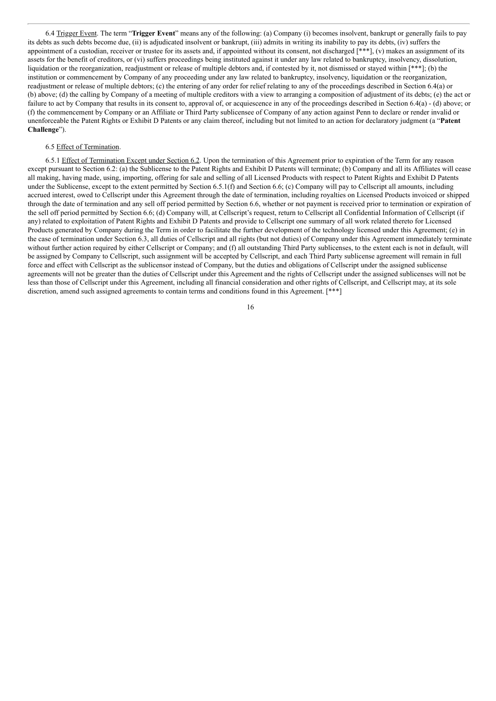6.4 Trigger Event. The term "**Trigger Event**" means any of the following: (a) Company (i) becomes insolvent, bankrupt or generally fails to pay its debts as such debts become due, (ii) is adjudicated insolvent or bankrupt, (iii) admits in writing its inability to pay its debts, (iv) suffers the appointment of a custodian, receiver or trustee for its assets and, if appointed without its consent, not discharged [\*\*\*], (v) makes an assignment of its assets for the benefit of creditors, or (vi) suffers proceedings being instituted against it under any law related to bankruptcy, insolvency, dissolution, liquidation or the reorganization, readjustment or release of multiple debtors and, if contested by it, not dismissed or stayed within [\*\*\*]; (b) the institution or commencement by Company of any proceeding under any law related to bankruptcy, insolvency, liquidation or the reorganization, readjustment or release of multiple debtors; (c) the entering of any order for relief relating to any of the proceedings described in Section 6.4(a) or (b) above; (d) the calling by Company of a meeting of multiple creditors with a view to arranging a composition of adjustment of its debts; (e) the act or failure to act by Company that results in its consent to, approval of, or acquiescence in any of the proceedings described in Section 6.4(a) - (d) above; or (f) the commencement by Company or an Affiliate or Third Party sublicensee of Company of any action against Penn to declare or render invalid or unenforceable the Patent Rights or Exhibit D Patents or any claim thereof, including but not limited to an action for declaratory judgment (a "**Patent Challenge**").

#### 6.5 Effect of Termination.

6.5.1 Effect of Termination Except under Section 6.2. Upon the termination of this Agreement prior to expiration of the Term for any reason except pursuant to Section 6.2: (a) the Sublicense to the Patent Rights and Exhibit D Patents will terminate; (b) Company and all its Affiliates will cease all making, having made, using, importing, offering for sale and selling of all Licensed Products with respect to Patent Rights and Exhibit D Patents under the Sublicense, except to the extent permitted by Section 6.5.1(f) and Section 6.6; (c) Company will pay to Cellscript all amounts, including accrued interest, owed to Cellscript under this Agreement through the date of termination, including royalties on Licensed Products invoiced or shipped through the date of termination and any sell off period permitted by Section 6.6, whether or not payment is received prior to termination or expiration of the sell off period permitted by Section 6.6; (d) Company will, at Cellscript's request, return to Cellscript all Confidential Information of Cellscript (if any) related to exploitation of Patent Rights and Exhibit D Patents and provide to Cellscript one summary of all work related thereto for Licensed Products generated by Company during the Term in order to facilitate the further development of the technology licensed under this Agreement; (e) in the case of termination under Section 6.3, all duties of Cellscript and all rights (but not duties) of Company under this Agreement immediately terminate without further action required by either Cellscript or Company; and (f) all outstanding Third Party sublicenses, to the extent each is not in default, will be assigned by Company to Cellscript, such assignment will be accepted by Cellscript, and each Third Party sublicense agreement will remain in full force and effect with Cellscript as the sublicensor instead of Company, but the duties and obligations of Cellscript under the assigned sublicense agreements will not be greater than the duties of Cellscript under this Agreement and the rights of Cellscript under the assigned sublicenses will not be less than those of Cellscript under this Agreement, including all financial consideration and other rights of Cellscript, and Cellscript may, at its sole discretion, amend such assigned agreements to contain terms and conditions found in this Agreement. [\*\*\*]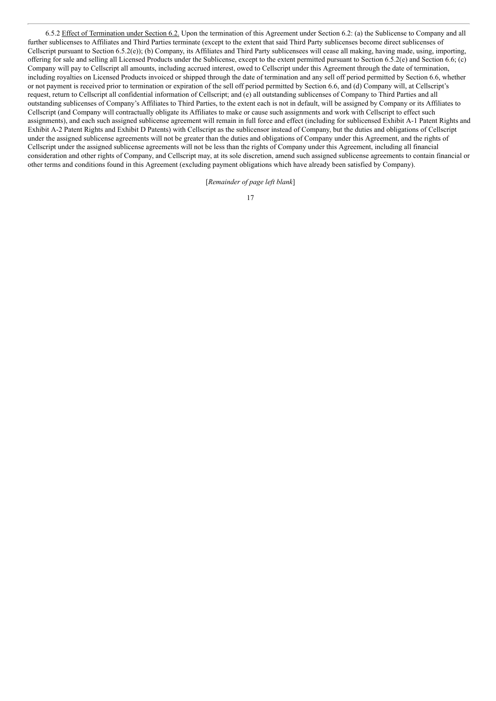6.5.2 Effect of Termination under Section 6.2. Upon the termination of this Agreement under Section 6.2: (a) the Sublicense to Company and all further sublicenses to Affiliates and Third Parties terminate (except to the extent that said Third Party sublicenses become direct sublicenses of Cellscript pursuant to Section 6.5.2(e)); (b) Company, its Affiliates and Third Party sublicensees will cease all making, having made, using, importing, offering for sale and selling all Licensed Products under the Sublicense, except to the extent permitted pursuant to Section 6.5.2(e) and Section 6.6; (c) Company will pay to Cellscript all amounts, including accrued interest, owed to Cellscript under this Agreement through the date of termination, including royalties on Licensed Products invoiced or shipped through the date of termination and any sell off period permitted by Section 6.6, whether or not payment is received prior to termination or expiration of the sell off period permitted by Section 6.6, and (d) Company will, at Cellscript's request, return to Cellscript all confidential information of Cellscript; and (e) all outstanding sublicenses of Company to Third Parties and all outstanding sublicenses of Company's Affiliates to Third Parties, to the extent each is not in default, will be assigned by Company or its Affiliates to Cellscript (and Company will contractually obligate its Affiliates to make or cause such assignments and work with Cellscript to effect such assignments), and each such assigned sublicense agreement will remain in full force and effect (including for sublicensed Exhibit A-1 Patent Rights and Exhibit A-2 Patent Rights and Exhibit D Patents) with Cellscript as the sublicensor instead of Company, but the duties and obligations of Cellscript under the assigned sublicense agreements will not be greater than the duties and obligations of Company under this Agreement, and the rights of Cellscript under the assigned sublicense agreements will not be less than the rights of Company under this Agreement, including all financial consideration and other rights of Company, and Cellscript may, at its sole discretion, amend such assigned sublicense agreements to contain financial or other terms and conditions found in this Agreement (excluding payment obligations which have already been satisfied by Company).

[*Remainder of page left blank*]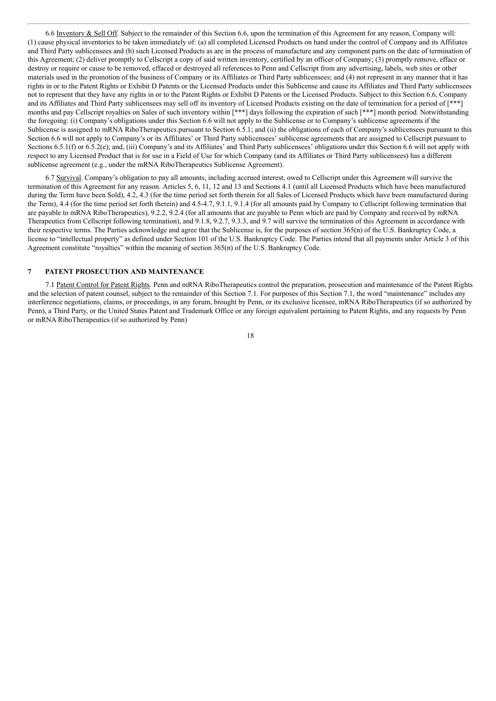6.6 Inventory & Sell Off. Subject to the remainder of this Section 6.6, upon the termination of this Agreement for any reason, Company will: (1) cause physical inventories to be taken immediately of: (a) all completed Licensed Products on hand under the control of Company and its Affiliates and Third Party sublicensees and (b) such Licensed Products as are in the process of manufacture and any component parts on the date of termination of this Agreement; (2) deliver promptly to Cellscript a copy of said written inventory, certified by an officer of Company; (3) promptly remove, efface or destroy or require or cause to be removed, effaced or destroyed all references to Penn and Cellscript from any advertising, labels, web sites or other materials used in the promotion of the business of Company or its Affiliates or Third Party sublicensees; and (4) not represent in any manner that it has rights in or to the Patent Rights or Exhibit D Patents or the Licensed Products under this Sublicense and cause its Affiliates and Third Party sublicensees not to represent that they have any rights in or to the Patent Rights or Exhibit D Patents or the Licensed Products. Subject to this Section 6.6, Company and its Affiliates and Third Party sublicensees may sell off its inventory of Licensed Products existing on the date of termination for a period of [\*\*\*] months and pay Cellscript royalties on Sales of such inventory within [\*\*\*] days following the expiration of such [\*\*\*] month period. Notwithstanding the foregoing: (i) Company's obligations under this Section 6.6 will not apply to the Sublicense or to Company's sublicense agreements if the Sublicense is assigned to mRNA RiboTherapeutics pursuant to Section 6.5.1; and (ii) the obligations of each of Company's sublicensees pursuant to this Section 6.6 will not apply to Company's or its Affiliates' or Third Party sublicensees' sublicense agreements that are assigned to Cellscript pursuant to Sections 6.5.1(f) or 6.5.2(e); and, (iii) Company's and its Affiliates' and Third Party sublicensees' obligations under this Section 6.6 will not apply with respect to any Licensed Product that is for use in a Field of Use for which Company (and its Affiliates or Third Party sublicensees) has a different sublicense agreement (e.g., under the mRNA RiboTherapeutics Sublicense Agreement).

6.7 Survival. Company's obligation to pay all amounts, including accrued interest, owed to Cellscript under this Agreement will survive the termination of this Agreement for any reason. Articles 5, 6, 11, 12 and 13 and Sections 4.1 (until all Licensed Products which have been manufactured during the Term have been Sold), 4.2, 4.3 (for the time period set forth therein for all Sales of Licensed Products which have been manufactured during the Term), 4.4 (for the time period set forth therein) and 4.5-4.7, 9.1.1, 9.1.4 (for all amounts paid by Company to Cellscript following termination that are payable to mRNA RiboTherapeutics), 9.2.2, 9.2.4 (for all amounts that are payable to Penn which are paid by Company and received by mRNA Therapeutics from Cellscript following termination), and 9.1.8, 9.2.7, 9.3.3, and 9.7 will survive the termination of this Agreement in accordance with their respective terms. The Parties acknowledge and agree that the Sublicense is, for the purposes of section 365(n) of the U.S. Bankruptcy Code, a license to "intellectual property" as defined under Section 101 of the U.S. Bankruptcy Code. The Parties intend that all payments under Article 3 of this Agreement constitute "royalties" within the meaning of section 365(n) of the U.S. Bankruptcy Code.

### **7 PATENT PROSECUTION AND MAINTENANCE**

7.1 Patent Control for Patent Rights. Penn and mRNA RiboTherapeutics control the preparation, prosecution and maintenance of the Patent Rights and the selection of patent counsel, subject to the remainder of this Section 7.1. For purposes of this Section 7.1, the word "maintenance" includes any interference negotiations, claims, or proceedings, in any forum, brought by Penn, or its exclusive licensee, mRNA RiboTherapeutics (if so authorized by Penn), a Third Party, or the United States Patent and Trademark Office or any foreign equivalent pertaining to Patent Rights, and any requests by Penn or mRNA RiboTherapeutics (if so authorized by Penn)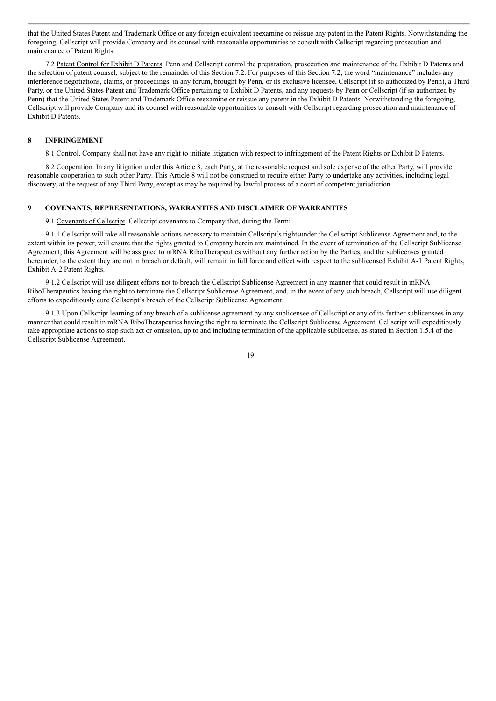that the United States Patent and Trademark Office or any foreign equivalent reexamine or reissue any patent in the Patent Rights. Notwithstanding the foregoing, Cellscript will provide Company and its counsel with reasonable opportunities to consult with Cellscript regarding prosecution and maintenance of Patent Rights.

7.2 Patent Control for Exhibit D Patents. Penn and Cellscript control the preparation, prosecution and maintenance of the Exhibit D Patents and the selection of patent counsel, subject to the remainder of this Section 7.2. For purposes of this Section 7.2, the word "maintenance" includes any interference negotiations, claims, or proceedings, in any forum, brought by Penn, or its exclusive licensee, Cellscript (if so authorized by Penn), a Third Party, or the United States Patent and Trademark Office pertaining to Exhibit D Patents, and any requests by Penn or Cellscript (if so authorized by Penn) that the United States Patent and Trademark Office reexamine or reissue any patent in the Exhibit D Patents. Notwithstanding the foregoing, Cellscript will provide Company and its counsel with reasonable opportunities to consult with Cellscript regarding prosecution and maintenance of Exhibit D Patents.

## **8 INFRINGEMENT**

8.1 Control. Company shall not have any right to initiate litigation with respect to infringement of the Patent Rights or Exhibit D Patents.

8.2 Cooperation. In any litigation under this Article 8, each Party, at the reasonable request and sole expense of the other Party, will provide reasonable cooperation to such other Party. This Article 8 will not be construed to require either Party to undertake any activities, including legal discovery, at the request of any Third Party, except as may be required by lawful process of a court of competent jurisdiction.

### **9 COVENANTS, REPRESENTATIONS, WARRANTIES AND DISCLAIMER OF WARRANTIES**

9.1 Covenants of Cellscript. Cellscript covenants to Company that, during the Term:

9.1.1 Cellscript will take all reasonable actions necessary to maintain Cellscript's rightsunder the Cellscript Sublicense Agreement and, to the extent within its power, will ensure that the rights granted to Company herein are maintained. In the event of termination of the Cellscript Sublicense Agreement, this Agreement will be assigned to mRNA RiboTherapeutics without any further action by the Parties, and the sublicenses granted hereunder, to the extent they are not in breach or default, will remain in full force and effect with respect to the sublicensed Exhibit A-1 Patent Rights, Exhibit A-2 Patent Rights.

9.1.2 Cellscript will use diligent efforts not to breach the Cellscript Sublicense Agreement in any manner that could result in mRNA RiboTherapeutics having the right to terminate the Cellscript Sublicense Agreement, and, in the event of any such breach, Cellscript will use diligent efforts to expeditiously cure Cellscript's breach of the Cellscript Sublicense Agreement.

9.1.3 Upon Cellscript learning of any breach of a sublicense agreement by any sublicensee of Cellscript or any of its further sublicensees in any manner that could result in mRNA RiboTherapeutics having the right to terminate the Cellscript Sublicense Agreement, Cellscript will expeditiously take appropriate actions to stop such act or omission, up to and including termination of the applicable sublicense, as stated in Section 1.5.4 of the Cellscript Sublicense Agreement.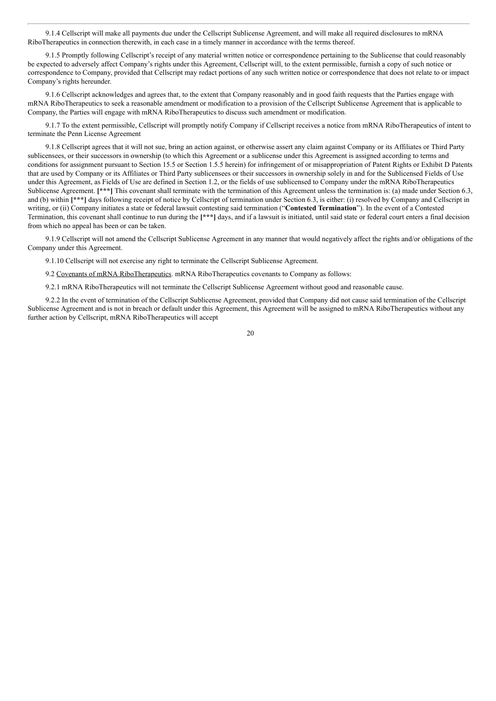9.1.4 Cellscript will make all payments due under the Cellscript Sublicense Agreement, and will make all required disclosures to mRNA RiboTherapeutics in connection therewith, in each case in a timely manner in accordance with the terms thereof.

9.1.5 Promptly following Cellscript's receipt of any material written notice or correspondence pertaining to the Sublicense that could reasonably be expected to adversely affect Company's rights under this Agreement, Cellscript will, to the extent permissible, furnish a copy of such notice or correspondence to Company, provided that Cellscript may redact portions of any such written notice or correspondence that does not relate to or impact Company's rights hereunder.

9.1.6 Cellscript acknowledges and agrees that, to the extent that Company reasonably and in good faith requests that the Parties engage with mRNA RiboTherapeutics to seek a reasonable amendment or modification to a provision of the Cellscript Sublicense Agreement that is applicable to Company, the Parties will engage with mRNA RiboTherapeutics to discuss such amendment or modification.

9.1.7 To the extent permissible, Cellscript will promptly notify Company if Cellscript receives a notice from mRNA RiboTherapeutics of intent to terminate the Penn License Agreement

9.1.8 Cellscript agrees that it will not sue, bring an action against, or otherwise assert any claim against Company or its Affiliates or Third Party sublicensees, or their successors in ownership (to which this Agreement or a sublicense under this Agreement is assigned according to terms and conditions for assignment pursuant to Section 15.5 or Section 1.5.5 herein) for infringement of or misappropriation of Patent Rights or Exhibit D Patents that are used by Company or its Affiliates or Third Party sublicensees or their successors in ownership solely in and for the Sublicensed Fields of Use under this Agreement, as Fields of Use are defined in Section 1.2, or the fields of use sublicensed to Company under the mRNA RiboTherapeutics Sublicense Agreement. **[\*\*\*]** This covenant shall terminate with the termination of this Agreement unless the termination is: (a) made under Section 6.3, and (b) within [\*\*\*] days following receipt of notice by Cellscript of termination under Section 6.3, is either: (i) resolved by Company and Cellscript in writing, or (ii) Company initiates a state or federal lawsuit contesting said termination ("**Contested Termination**"). In the event of a Contested Termination, this covenant shall continue to run during the **[\*\*\*]** days, and if a lawsuit is initiated, until said state or federal court enters a final decision from which no appeal has been or can be taken.

9.1.9 Cellscript will not amend the Cellscript Sublicense Agreement in any manner that would negatively affect the rights and/or obligations of the Company under this Agreement.

9.1.10 Cellscript will not exercise any right to terminate the Cellscript Sublicense Agreement.

9.2 Covenants of mRNA RiboTherapeutics. mRNA RiboTherapeutics covenants to Company as follows:

9.2.1 mRNA RiboTherapeutics will not terminate the Cellscript Sublicense Agreement without good and reasonable cause.

9.2.2 In the event of termination of the Cellscript Sublicense Agreement, provided that Company did not cause said termination of the Cellscript Sublicense Agreement and is not in breach or default under this Agreement, this Agreement will be assigned to mRNA RiboTherapeutics without any further action by Cellscript, mRNA RiboTherapeutics will accept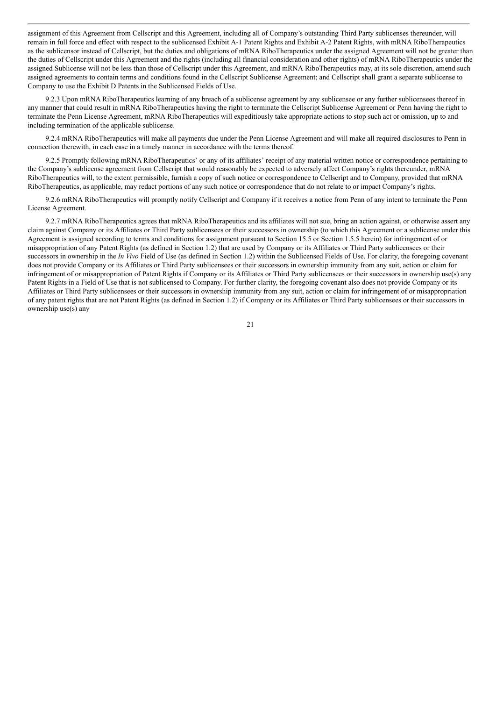assignment of this Agreement from Cellscript and this Agreement, including all of Company's outstanding Third Party sublicenses thereunder, will remain in full force and effect with respect to the sublicensed Exhibit A-1 Patent Rights and Exhibit A-2 Patent Rights, with mRNA RiboTherapeutics as the sublicensor instead of Cellscript, but the duties and obligations of mRNA RiboTherapeutics under the assigned Agreement will not be greater than the duties of Cellscript under this Agreement and the rights (including all financial consideration and other rights) of mRNA RiboTherapeutics under the assigned Sublicense will not be less than those of Cellscript under this Agreement, and mRNA RiboTherapeutics may, at its sole discretion, amend such assigned agreements to contain terms and conditions found in the Cellscript Sublicense Agreement; and Cellscript shall grant a separate sublicense to Company to use the Exhibit D Patents in the Sublicensed Fields of Use.

9.2.3 Upon mRNA RiboTherapeutics learning of any breach of a sublicense agreement by any sublicensee or any further sublicensees thereof in any manner that could result in mRNA RiboTherapeutics having the right to terminate the Cellscript Sublicense Agreement or Penn having the right to terminate the Penn License Agreement, mRNA RiboTherapeutics will expeditiously take appropriate actions to stop such act or omission, up to and including termination of the applicable sublicense.

9.2.4 mRNA RiboTherapeutics will make all payments due under the Penn License Agreement and will make all required disclosures to Penn in connection therewith, in each case in a timely manner in accordance with the terms thereof.

9.2.5 Promptly following mRNA RiboTherapeutics' or any of its affiliates' receipt of any material written notice or correspondence pertaining to the Company's sublicense agreement from Cellscript that would reasonably be expected to adversely affect Company's rights thereunder, mRNA RiboTherapeutics will, to the extent permissible, furnish a copy of such notice or correspondence to Cellscript and to Company, provided that mRNA RiboTherapeutics, as applicable, may redact portions of any such notice or correspondence that do not relate to or impact Company's rights.

9.2.6 mRNA RiboTherapeutics will promptly notify Cellscript and Company if it receives a notice from Penn of any intent to terminate the Penn License Agreement.

9.2.7 mRNA RiboTherapeutics agrees that mRNA RiboTherapeutics and its affiliates will not sue, bring an action against, or otherwise assert any claim against Company or its Affiliates or Third Party sublicensees or their successors in ownership (to which this Agreement or a sublicense under this Agreement is assigned according to terms and conditions for assignment pursuant to Section 15.5 or Section 1.5.5 herein) for infringement of or misappropriation of any Patent Rights (as defined in Section 1.2) that are used by Company or its Affiliates or Third Party sublicensees or their successors in ownership in the *In Vivo* Field of Use (as defined in Section 1.2) within the Sublicensed Fields of Use. For clarity, the foregoing covenant does not provide Company or its Affiliates or Third Party sublicensees or their successors in ownership immunity from any suit, action or claim for infringement of or misappropriation of Patent Rights if Company or its Affiliates or Third Party sublicensees or their successors in ownership use(s) any Patent Rights in a Field of Use that is not sublicensed to Company. For further clarity, the foregoing covenant also does not provide Company or its Affiliates or Third Party sublicensees or their successors in ownership immunity from any suit, action or claim for infringement of or misappropriation of any patent rights that are not Patent Rights (as defined in Section 1.2) if Company or its Affiliates or Third Party sublicensees or their successors in ownership use(s) any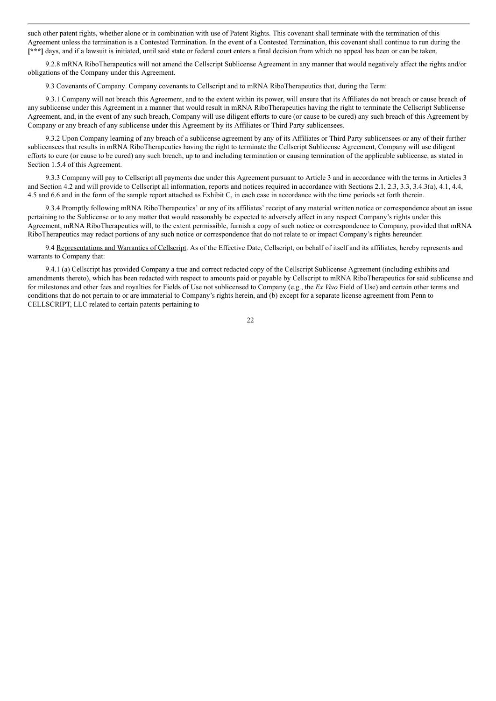such other patent rights, whether alone or in combination with use of Patent Rights. This covenant shall terminate with the termination of this Agreement unless the termination is a Contested Termination. In the event of a Contested Termination, this covenant shall continue to run during the **[\*\*\*]** days, and if a lawsuit is initiated, until said state or federal court enters a final decision from which no appeal has been or can be taken.

9.2.8 mRNA RiboTherapeutics will not amend the Cellscript Sublicense Agreement in any manner that would negatively affect the rights and/or obligations of the Company under this Agreement.

9.3 Covenants of Company. Company covenants to Cellscript and to mRNA RiboTherapeutics that, during the Term:

9.3.1 Company will not breach this Agreement, and to the extent within its power, will ensure that its Affiliates do not breach or cause breach of any sublicense under this Agreement in a manner that would result in mRNA RiboTherapeutics having the right to terminate the Cellscript Sublicense Agreement, and, in the event of any such breach, Company will use diligent efforts to cure (or cause to be cured) any such breach of this Agreement by Company or any breach of any sublicense under this Agreement by its Affiliates or Third Party sublicensees.

9.3.2 Upon Company learning of any breach of a sublicense agreement by any of its Affiliates or Third Party sublicensees or any of their further sublicensees that results in mRNA RiboTherapeutics having the right to terminate the Cellscript Sublicense Agreement, Company will use diligent efforts to cure (or cause to be cured) any such breach, up to and including termination or causing termination of the applicable sublicense, as stated in Section 1.5.4 of this Agreement.

9.3.3 Company will pay to Cellscript all payments due under this Agreement pursuant to Article 3 and in accordance with the terms in Articles 3 and Section 4.2 and will provide to Cellscript all information, reports and notices required in accordance with Sections 2.1, 2.3, 3.3, 3.4.3(a), 4.1, 4.4, 4.5 and 6.6 and in the form of the sample report attached as Exhibit C, in each case in accordance with the time periods set forth therein.

9.3.4 Promptly following mRNA RiboTherapeutics' or any of its affiliates' receipt of any material written notice or correspondence about an issue pertaining to the Sublicense or to any matter that would reasonably be expected to adversely affect in any respect Company's rights under this Agreement, mRNA RiboTherapeutics will, to the extent permissible, furnish a copy of such notice or correspondence to Company, provided that mRNA RiboTherapeutics may redact portions of any such notice or correspondence that do not relate to or impact Company's rights hereunder.

9.4 Representations and Warranties of Cellscript. As of the Effective Date, Cellscript, on behalf of itself and its affiliates, hereby represents and warrants to Company that:

9.4.1 (a) Cellscript has provided Company a true and correct redacted copy of the Cellscript Sublicense Agreement (including exhibits and amendments thereto), which has been redacted with respect to amounts paid or payable by Cellscript to mRNA RiboTherapeutics for said sublicense and for milestones and other fees and royalties for Fields of Use not sublicensed to Company (e.g., the *Ex Vivo* Field of Use) and certain other terms and conditions that do not pertain to or are immaterial to Company's rights herein, and (b) except for a separate license agreement from Penn to CELLSCRIPT, LLC related to certain patents pertaining to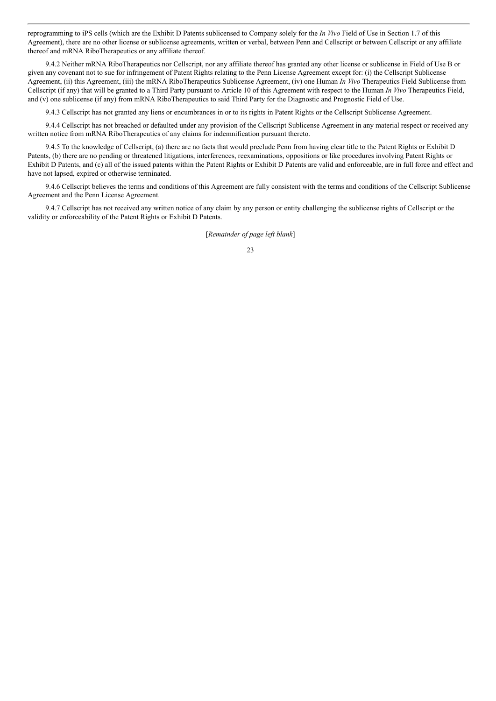reprogramming to iPS cells (which are the Exhibit D Patents sublicensed to Company solely for the *In Vivo* Field of Use in Section 1.7 of this Agreement), there are no other license or sublicense agreements, written or verbal, between Penn and Cellscript or between Cellscript or any affiliate thereof and mRNA RiboTherapeutics or any affiliate thereof.

9.4.2 Neither mRNA RiboTherapeutics nor Cellscript, nor any affiliate thereof has granted any other license or sublicense in Field of Use B or given any covenant not to sue for infringement of Patent Rights relating to the Penn License Agreement except for: (i) the Cellscript Sublicense Agreement, (ii) this Agreement, (iii) the mRNA RiboTherapeutics Sublicense Agreement, (iv) one Human *In Vivo* Therapeutics Field Sublicense from Cellscript (if any) that will be granted to a Third Party pursuant to Article 10 of this Agreement with respect to the Human *In Vivo* Therapeutics Field, and (v) one sublicense (if any) from mRNA RiboTherapeutics to said Third Party for the Diagnostic and Prognostic Field of Use.

9.4.3 Cellscript has not granted any liens or encumbrances in or to its rights in Patent Rights or the Cellscript Sublicense Agreement.

9.4.4 Cellscript has not breached or defaulted under any provision of the Cellscript Sublicense Agreement in any material respect or received any written notice from mRNA RiboTherapeutics of any claims for indemnification pursuant thereto.

9.4.5 To the knowledge of Cellscript, (a) there are no facts that would preclude Penn from having clear title to the Patent Rights or Exhibit D Patents, (b) there are no pending or threatened litigations, interferences, reexaminations, oppositions or like procedures involving Patent Rights or Exhibit D Patents, and (c) all of the issued patents within the Patent Rights or Exhibit D Patents are valid and enforceable, are in full force and effect and have not lapsed, expired or otherwise terminated.

9.4.6 Cellscript believes the terms and conditions of this Agreement are fully consistent with the terms and conditions of the Cellscript Sublicense Agreement and the Penn License Agreement.

9.4.7 Cellscript has not received any written notice of any claim by any person or entity challenging the sublicense rights of Cellscript or the validity or enforceability of the Patent Rights or Exhibit D Patents.

[*Remainder of page left blank*]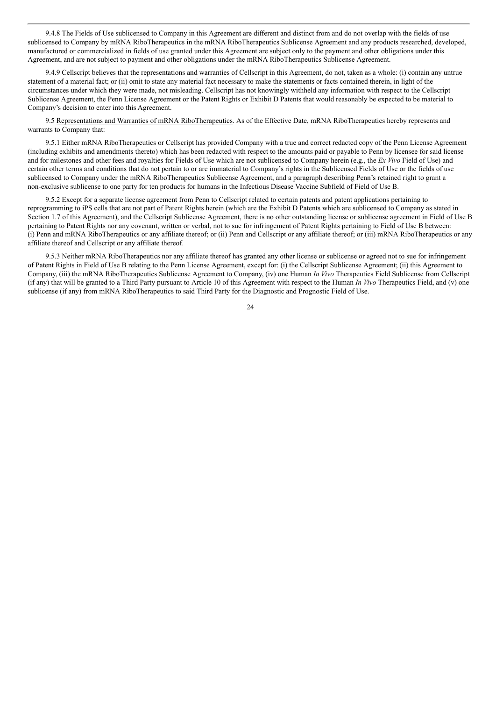9.4.8 The Fields of Use sublicensed to Company in this Agreement are different and distinct from and do not overlap with the fields of use sublicensed to Company by mRNA RiboTherapeutics in the mRNA RiboTherapeutics Sublicense Agreement and any products researched, developed, manufactured or commercialized in fields of use granted under this Agreement are subject only to the payment and other obligations under this Agreement, and are not subject to payment and other obligations under the mRNA RiboTherapeutics Sublicense Agreement.

9.4.9 Cellscript believes that the representations and warranties of Cellscript in this Agreement, do not, taken as a whole: (i) contain any untrue statement of a material fact; or (ii) omit to state any material fact necessary to make the statements or facts contained therein, in light of the circumstances under which they were made, not misleading. Cellscript has not knowingly withheld any information with respect to the Cellscript Sublicense Agreement, the Penn License Agreement or the Patent Rights or Exhibit D Patents that would reasonably be expected to be material to Company's decision to enter into this Agreement.

9.5 Representations and Warranties of mRNA RiboTherapeutics. As of the Effective Date, mRNA RiboTherapeutics hereby represents and warrants to Company that:

9.5.1 Either mRNA RiboTherapeutics or Cellscript has provided Company with a true and correct redacted copy of the Penn License Agreement (including exhibits and amendments thereto) which has been redacted with respect to the amounts paid or payable to Penn by licensee for said license and for milestones and other fees and royalties for Fields of Use which are not sublicensed to Company herein (e.g., the *Ex Vivo* Field of Use) and certain other terms and conditions that do not pertain to or are immaterial to Company's rights in the Sublicensed Fields of Use or the fields of use sublicensed to Company under the mRNA RiboTherapeutics Sublicense Agreement, and a paragraph describing Penn's retained right to grant a non-exclusive sublicense to one party for ten products for humans in the Infectious Disease Vaccine Subfield of Field of Use B.

9.5.2 Except for a separate license agreement from Penn to Cellscript related to certain patents and patent applications pertaining to reprogramming to iPS cells that are not part of Patent Rights herein (which are the Exhibit D Patents which are sublicensed to Company as stated in Section 1.7 of this Agreement), and the Cellscript Sublicense Agreement, there is no other outstanding license or sublicense agreement in Field of Use B pertaining to Patent Rights nor any covenant, written or verbal, not to sue for infringement of Patent Rights pertaining to Field of Use B between: (i) Penn and mRNA RiboTherapeutics or any affiliate thereof; or (ii) Penn and Cellscript or any affiliate thereof; or (iii) mRNA RiboTherapeutics or any affiliate thereof and Cellscript or any affiliate thereof.

9.5.3 Neither mRNA RiboTherapeutics nor any affiliate thereof has granted any other license or sublicense or agreed not to sue for infringement of Patent Rights in Field of Use B relating to the Penn License Agreement, except for: (i) the Cellscript Sublicense Agreement; (ii) this Agreement to Company, (iii) the mRNA RiboTherapeutics Sublicense Agreement to Company, (iv) one Human *In Vivo* Therapeutics Field Sublicense from Cellscript (if any) that will be granted to a Third Party pursuant to Article 10 of this Agreement with respect to the Human *In Vivo* Therapeutics Field, and (v) one sublicense (if any) from mRNA RiboTherapeutics to said Third Party for the Diagnostic and Prognostic Field of Use.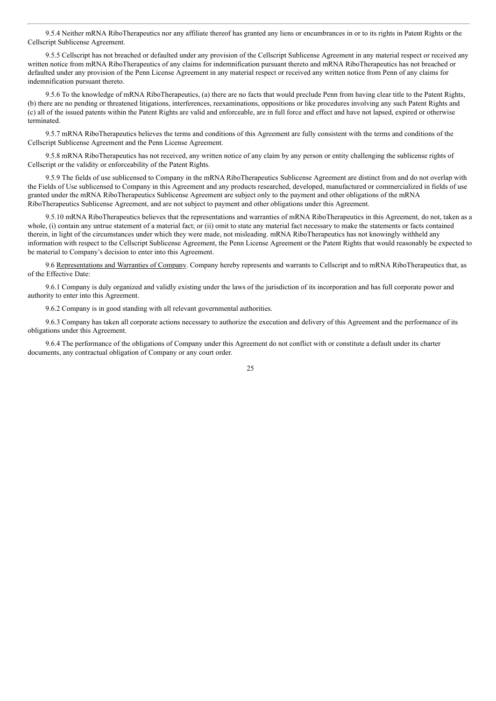9.5.4 Neither mRNA RiboTherapeutics nor any affiliate thereof has granted any liens or encumbrances in or to its rights in Patent Rights or the Cellscript Sublicense Agreement.

9.5.5 Cellscript has not breached or defaulted under any provision of the Cellscript Sublicense Agreement in any material respect or received any written notice from mRNA RiboTherapeutics of any claims for indemnification pursuant thereto and mRNA RiboTherapeutics has not breached or defaulted under any provision of the Penn License Agreement in any material respect or received any written notice from Penn of any claims for indemnification pursuant thereto.

9.5.6 To the knowledge of mRNA RiboTherapeutics, (a) there are no facts that would preclude Penn from having clear title to the Patent Rights, (b) there are no pending or threatened litigations, interferences, reexaminations, oppositions or like procedures involving any such Patent Rights and (c) all of the issued patents within the Patent Rights are valid and enforceable, are in full force and effect and have not lapsed, expired or otherwise terminated.

9.5.7 mRNA RiboTherapeutics believes the terms and conditions of this Agreement are fully consistent with the terms and conditions of the Cellscript Sublicense Agreement and the Penn License Agreement.

9.5.8 mRNA RiboTherapeutics has not received, any written notice of any claim by any person or entity challenging the sublicense rights of Cellscript or the validity or enforceability of the Patent Rights.

9.5.9 The fields of use sublicensed to Company in the mRNA RiboTherapeutics Sublicense Agreement are distinct from and do not overlap with the Fields of Use sublicensed to Company in this Agreement and any products researched, developed, manufactured or commercialized in fields of use granted under the mRNA RiboTherapeutics Sublicense Agreement are subject only to the payment and other obligations of the mRNA RiboTherapeutics Sublicense Agreement, and are not subject to payment and other obligations under this Agreement.

9.5.10 mRNA RiboTherapeutics believes that the representations and warranties of mRNA RiboTherapeutics in this Agreement, do not, taken as a whole, (i) contain any untrue statement of a material fact; or (ii) omit to state any material fact necessary to make the statements or facts contained therein, in light of the circumstances under which they were made, not misleading. mRNA RiboTherapeutics has not knowingly withheld any information with respect to the Cellscript Sublicense Agreement, the Penn License Agreement or the Patent Rights that would reasonably be expected to be material to Company's decision to enter into this Agreement.

9.6 Representations and Warranties of Company. Company hereby represents and warrants to Cellscript and to mRNA RiboTherapeutics that, as of the Effective Date:

9.6.1 Company is duly organized and validly existing under the laws of the jurisdiction of its incorporation and has full corporate power and authority to enter into this Agreement.

9.6.2 Company is in good standing with all relevant governmental authorities.

9.6.3 Company has taken all corporate actions necessary to authorize the execution and delivery of this Agreement and the performance of its obligations under this Agreement.

9.6.4 The performance of the obligations of Company under this Agreement do not conflict with or constitute a default under its charter documents, any contractual obligation of Company or any court order.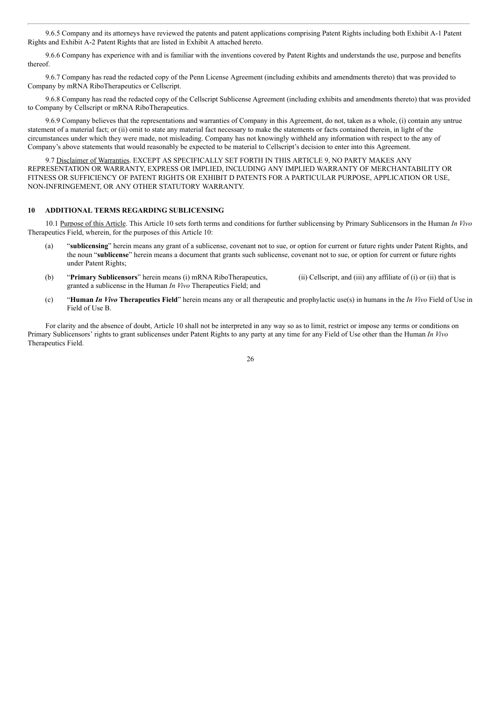9.6.5 Company and its attorneys have reviewed the patents and patent applications comprising Patent Rights including both Exhibit A-1 Patent Rights and Exhibit A-2 Patent Rights that are listed in Exhibit A attached hereto.

9.6.6 Company has experience with and is familiar with the inventions covered by Patent Rights and understands the use, purpose and benefits thereof.

9.6.7 Company has read the redacted copy of the Penn License Agreement (including exhibits and amendments thereto) that was provided to Company by mRNA RiboTherapeutics or Cellscript.

9.6.8 Company has read the redacted copy of the Cellscript Sublicense Agreement (including exhibits and amendments thereto) that was provided to Company by Cellscript or mRNA RiboTherapeutics.

9.6.9 Company believes that the representations and warranties of Company in this Agreement, do not, taken as a whole, (i) contain any untrue statement of a material fact; or (ii) omit to state any material fact necessary to make the statements or facts contained therein, in light of the circumstances under which they were made, not misleading. Company has not knowingly withheld any information with respect to the any of Company's above statements that would reasonably be expected to be material to Cellscript's decision to enter into this Agreement.

9.7 Disclaimer of Warranties. EXCEPT AS SPECIFICALLY SET FORTH IN THIS ARTICLE 9, NO PARTY MAKES ANY REPRESENTATION OR WARRANTY, EXPRESS OR IMPLIED, INCLUDING ANY IMPLIED WARRANTY OF MERCHANTABILITY OR FITNESS OR SUFFICIENCY OF PATENT RIGHTS OR EXHIBIT D PATENTS FOR A PARTICULAR PURPOSE, APPLICATION OR USE, NON-INFRINGEMENT, OR ANY OTHER STATUTORY WARRANTY.

## **10 ADDITIONAL TERMS REGARDING SUBLICENSING**

10.1 Purpose of this Article. This Article 10 sets forth terms and conditions for further sublicensing by Primary Sublicensors in the Human *In Vivo* Therapeutics Field, wherein, for the purposes of this Article 10:

- (a) "**sublicensing**" herein means any grant of a sublicense, covenant not to sue, or option for current or future rights under Patent Rights, and the noun "**sublicense**" herein means a document that grants such sublicense, covenant not to sue, or option for current or future rights under Patent Rights;
- (b) "**Primary Sublicensors**" herein means (i) mRNA RiboTherapeutics, (ii) Cellscript, and (iii) any affiliate of (i) or (ii) that is granted a sublicense in the Human *In Vivo* Therapeutics Field; and
- (c) "**Human** *In Vivo* **Therapeutics Field**" herein means any or all therapeutic and prophylactic use(s) in humans in the *In Vivo* Field of Use in Field of Use B.

For clarity and the absence of doubt, Article 10 shall not be interpreted in any way so as to limit, restrict or impose any terms or conditions on Primary Sublicensors' rights to grant sublicenses under Patent Rights to any party at any time for any Field of Use other than the Human *In Vivo* Therapeutics Field.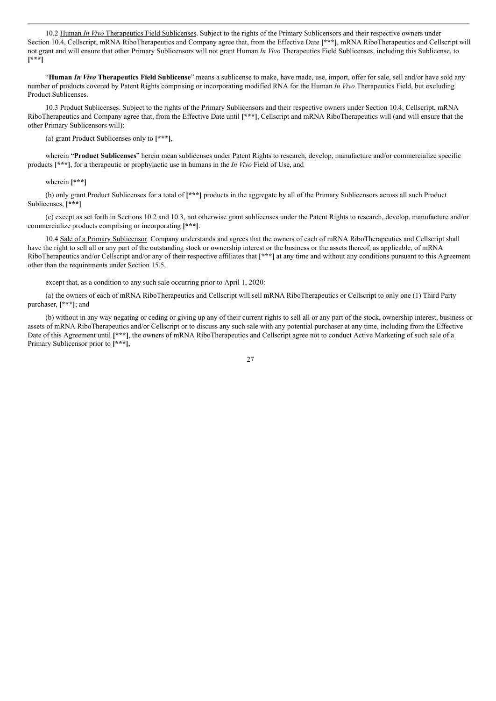10.2 Human *In Vivo* Therapeutics Field Sublicenses. Subject to the rights of the Primary Sublicensors and their respective owners under Section 10.4, Cellscript, mRNA RiboTherapeutics and Company agree that, from the Effective Date **[\*\*\*]**, mRNA RiboTherapeutics and Cellscript will not grant and will ensure that other Primary Sublicensors will not grant Human *In Vivo* Therapeutics Field Sublicenses, including this Sublicense, to **[\*\*\*]**

"**Human** *In Vivo* **Therapeutics Field Sublicense**" means a sublicense to make, have made, use, import, offer for sale, sell and/or have sold any number of products covered by Patent Rights comprising or incorporating modified RNA for the Human *In Vivo* Therapeutics Field, but excluding Product Sublicenses.

10.3 Product Sublicenses. Subject to the rights of the Primary Sublicensors and their respective owners under Section 10.4, Cellscript, mRNA RiboTherapeutics and Company agree that, from the Effective Date until **[\*\*\*]**, Cellscript and mRNA RiboTherapeutics will (and will ensure that the other Primary Sublicensors will):

(a) grant Product Sublicenses only to **[\*\*\*]**,

wherein "**Product Sublicenses**" herein mean sublicenses under Patent Rights to research, develop, manufacture and/or commercialize specific products **[\*\*\*]**, for a therapeutic or prophylactic use in humans in the *In Vivo* Field of Use, and

#### wherein **[\*\*\*]**

(b) only grant Product Sublicenses for a total of **[\*\*\*]** products in the aggregate by all of the Primary Sublicensors across all such Product Sublicenses, **[\*\*\*]**

(c) except as set forth in Sections 10.2 and 10.3, not otherwise grant sublicenses under the Patent Rights to research, develop, manufacture and/or commercialize products comprising or incorporating **[\*\*\*]**.

10.4 Sale of a Primary Sublicensor. Company understands and agrees that the owners of each of mRNA RiboTherapeutics and Cellscript shall have the right to sell all or any part of the outstanding stock or ownership interest or the business or the assets thereof, as applicable, of mRNA RiboTherapeutics and/or Cellscript and/or any of their respective affiliates that **[\*\*\*]** at any time and without any conditions pursuant to this Agreement other than the requirements under Section 15.5,

except that, as a condition to any such sale occurring prior to April 1, 2020:

(a) the owners of each of mRNA RiboTherapeutics and Cellscript will sell mRNA RiboTherapeutics or Cellscript to only one (1) Third Party purchaser, **[\*\*\*]**; and

(b) without in any way negating or ceding or giving up any of their current rights to sell all or any part of the stock, ownership interest, business or assets of mRNA RiboTherapeutics and/or Cellscript or to discuss any such sale with any potential purchaser at any time, including from the Effective Date of this Agreement until [\*\*\*], the owners of mRNA RiboTherapeutics and Cellscript agree not to conduct Active Marketing of such sale of a Primary Sublicensor prior to **[\*\*\*]**,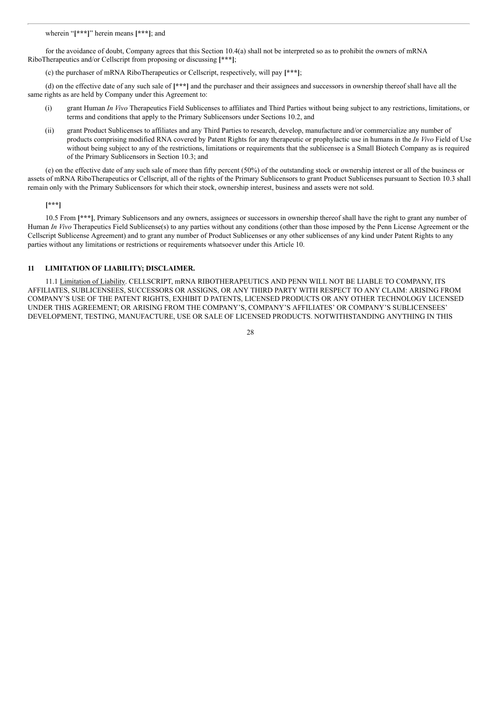wherein "**[\*\*\*]**" herein means **[\*\*\*]**; and

for the avoidance of doubt, Company agrees that this Section 10.4(a) shall not be interpreted so as to prohibit the owners of mRNA RiboTherapeutics and/or Cellscript from proposing or discussing **[\*\*\*]**;

(c) the purchaser of mRNA RiboTherapeutics or Cellscript, respectively, will pay **[\*\*\*]**;

(d) on the effective date of any such sale of **[\*\*\*]** and the purchaser and their assignees and successors in ownership thereof shall have all the same rights as are held by Company under this Agreement to:

- (i) grant Human *In Vivo* Therapeutics Field Sublicenses to affiliates and Third Parties without being subject to any restrictions, limitations, or terms and conditions that apply to the Primary Sublicensors under Sections 10.2, and
- (ii) grant Product Sublicenses to affiliates and any Third Parties to research, develop, manufacture and/or commercialize any number of products comprising modified RNA covered by Patent Rights for any therapeutic or prophylactic use in humans in the *In Vivo* Field of Use without being subject to any of the restrictions, limitations or requirements that the sublicensee is a Small Biotech Company as is required of the Primary Sublicensors in Section 10.3; and

(e) on the effective date of any such sale of more than fifty percent (50%) of the outstanding stock or ownership interest or all of the business or assets of mRNA RiboTherapeutics or Cellscript, all of the rights of the Primary Sublicensors to grant Product Sublicenses pursuant to Section 10.3 shall remain only with the Primary Sublicensors for which their stock, ownership interest, business and assets were not sold.

## **[\*\*\*]**

10.5 From **[\*\*\*]**, Primary Sublicensors and any owners, assignees or successors in ownership thereof shall have the right to grant any number of Human *In Vivo* Therapeutics Field Sublicense(s) to any parties without any conditions (other than those imposed by the Penn License Agreement or the Cellscript Sublicense Agreement) and to grant any number of Product Sublicenses or any other sublicenses of any kind under Patent Rights to any parties without any limitations or restrictions or requirements whatsoever under this Article 10.

## **11 LIMITATION OF LIABILITY; DISCLAIMER.**

11.1 Limitation of Liability. CELLSCRIPT, mRNA RIBOTHERAPEUTICS AND PENN WILL NOT BE LIABLE TO COMPANY, ITS AFFILIATES, SUBLICENSEES, SUCCESSORS OR ASSIGNS, OR ANY THIRD PARTY WITH RESPECT TO ANY CLAIM: ARISING FROM COMPANY'S USE OF THE PATENT RIGHTS, EXHIBIT D PATENTS, LICENSED PRODUCTS OR ANY OTHER TECHNOLOGY LICENSED UNDER THIS AGREEMENT; OR ARISING FROM THE COMPANY'S, COMPANY'S AFFILIATES' OR COMPANY'S SUBLICENSEES' DEVELOPMENT, TESTING, MANUFACTURE, USE OR SALE OF LICENSED PRODUCTS. NOTWITHSTANDING ANYTHING IN THIS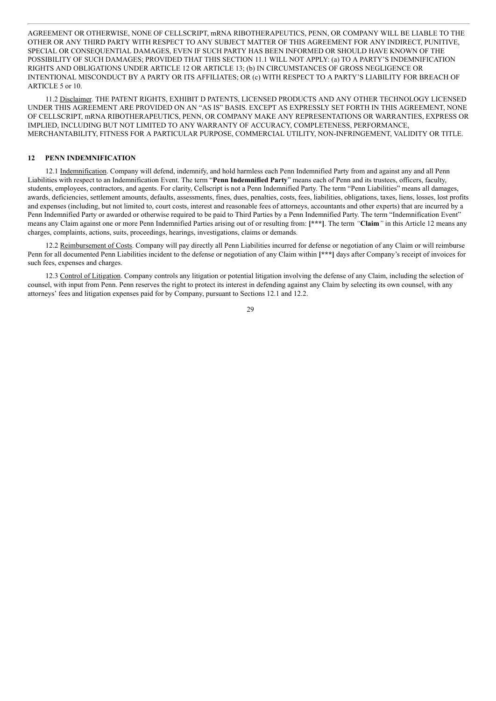AGREEMENT OR OTHERWISE, NONE OF CELLSCRIPT, mRNA RIBOTHERAPEUTICS, PENN, OR COMPANY WILL BE LIABLE TO THE OTHER OR ANY THIRD PARTY WITH RESPECT TO ANY SUBJECT MATTER OF THIS AGREEMENT FOR ANY INDIRECT, PUNITIVE, SPECIAL OR CONSEQUENTIAL DAMAGES, EVEN IF SUCH PARTY HAS BEEN INFORMED OR SHOULD HAVE KNOWN OF THE POSSIBILITY OF SUCH DAMAGES; PROVIDED THAT THIS SECTION 11.1 WILL NOT APPLY: (a) TO A PARTY'S INDEMNIFICATION RIGHTS AND OBLIGATIONS UNDER ARTICLE 12 OR ARTICLE 13; (b) IN CIRCUMSTANCES OF GROSS NEGLIGENCE OR INTENTIONAL MISCONDUCT BY A PARTY OR ITS AFFILIATES; OR (c) WITH RESPECT TO A PARTY'S LIABILITY FOR BREACH OF ARTICLE 5 or 10.

11.2 Disclaimer. THE PATENT RIGHTS, EXHIBIT D PATENTS, LICENSED PRODUCTS AND ANY OTHER TECHNOLOGY LICENSED UNDER THIS AGREEMENT ARE PROVIDED ON AN "AS IS" BASIS. EXCEPT AS EXPRESSLY SET FORTH IN THIS AGREEMENT, NONE OF CELLSCRIPT, mRNA RIBOTHERAPEUTICS, PENN, OR COMPANY MAKE ANY REPRESENTATIONS OR WARRANTIES, EXPRESS OR IMPLIED, INCLUDING BUT NOT LIMITED TO ANY WARRANTY OF ACCURACY, COMPLETENESS, PERFORMANCE, MERCHANTABILITY, FITNESS FOR A PARTICULAR PURPOSE, COMMERCIAL UTILITY, NON-INFRINGEMENT, VALIDITY OR TITLE.

### **12 PENN INDEMNIFICATION**

12.1 Indemnification. Company will defend, indemnify, and hold harmless each Penn Indemnified Party from and against any and all Penn Liabilities with respect to an Indemnification Event. The term "**Penn Indemnified Party**" means each of Penn and its trustees, officers, faculty, students, employees, contractors, and agents. For clarity, Cellscript is not a Penn Indemnified Party. The term "Penn Liabilities" means all damages, awards, deficiencies, settlement amounts, defaults, assessments, fines, dues, penalties, costs, fees, liabilities, obligations, taxes, liens, losses, lost profits and expenses (including, but not limited to, court costs, interest and reasonable fees of attorneys, accountants and other experts) that are incurred by a Penn Indemnified Party or awarded or otherwise required to be paid to Third Parties by a Penn Indemnified Party. The term "Indemnification Event" means any Claim against one or more Penn Indemnified Parties arising out of or resulting from: **[\*\*\*]**. The term *"***Claim***"* in this Article 12 means any charges, complaints, actions, suits, proceedings, hearings, investigations, claims or demands.

12.2 Reimbursement of Costs. Company will pay directly all Penn Liabilities incurred for defense or negotiation of any Claim or will reimburse Penn for all documented Penn Liabilities incident to the defense or negotiation of any Claim within **[\*\*\*]** days after Company's receipt of invoices for such fees, expenses and charges.

12.3 Control of Litigation. Company controls any litigation or potential litigation involving the defense of any Claim, including the selection of counsel, with input from Penn. Penn reserves the right to protect its interest in defending against any Claim by selecting its own counsel, with any attorneys' fees and litigation expenses paid for by Company, pursuant to Sections 12.1 and 12.2.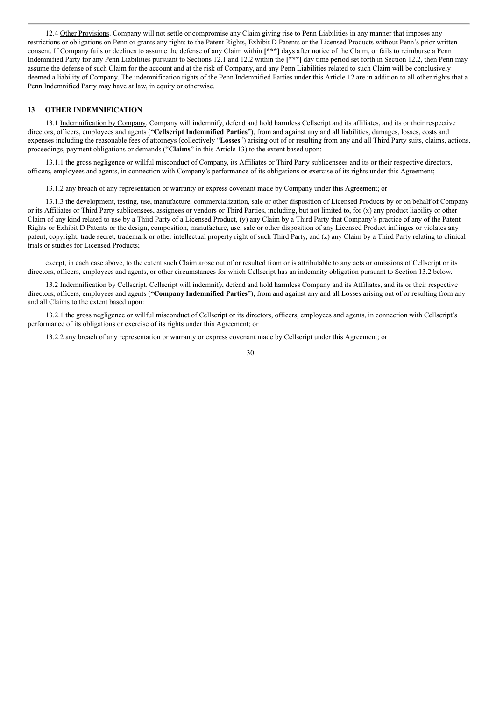12.4 Other Provisions. Company will not settle or compromise any Claim giving rise to Penn Liabilities in any manner that imposes any restrictions or obligations on Penn or grants any rights to the Patent Rights, Exhibit D Patents or the Licensed Products without Penn's prior written consent. If Company fails or declines to assume the defense of any Claim within **[\*\*\*]** days after notice of the Claim, or fails to reimburse a Penn Indemnified Party for any Penn Liabilities pursuant to Sections 12.1 and 12.2 within the **[\*\*\*]** day time period set forth in Section 12.2, then Penn may assume the defense of such Claim for the account and at the risk of Company, and any Penn Liabilities related to such Claim will be conclusively deemed a liability of Company. The indemnification rights of the Penn Indemnified Parties under this Article 12 are in addition to all other rights that a Penn Indemnified Party may have at law, in equity or otherwise.

#### **13 OTHER INDEMNIFICATION**

13.1 Indemnification by Company. Company will indemnify, defend and hold harmless Cellscript and its affiliates, and its or their respective directors, officers, employees and agents ("**Cellscript Indemnified Parties**"), from and against any and all liabilities, damages, losses, costs and expenses including the reasonable fees of attorneys (collectively "**Losses**") arising out of or resulting from any and all Third Party suits, claims, actions, proceedings, payment obligations or demands ("**Claims**" in this Article 13) to the extent based upon:

13.1.1 the gross negligence or willful misconduct of Company, its Affiliates or Third Party sublicensees and its or their respective directors, officers, employees and agents, in connection with Company's performance of its obligations or exercise of its rights under this Agreement;

13.1.2 any breach of any representation or warranty or express covenant made by Company under this Agreement; or

13.1.3 the development, testing, use, manufacture, commercialization, sale or other disposition of Licensed Products by or on behalf of Company or its Affiliates or Third Party sublicensees, assignees or vendors or Third Parties, including, but not limited to, for (x) any product liability or other Claim of any kind related to use by a Third Party of a Licensed Product, (y) any Claim by a Third Party that Company's practice of any of the Patent Rights or Exhibit D Patents or the design, composition, manufacture, use, sale or other disposition of any Licensed Product infringes or violates any patent, copyright, trade secret, trademark or other intellectual property right of such Third Party, and (z) any Claim by a Third Party relating to clinical trials or studies for Licensed Products;

except, in each case above, to the extent such Claim arose out of or resulted from or is attributable to any acts or omissions of Cellscript or its directors, officers, employees and agents, or other circumstances for which Cellscript has an indemnity obligation pursuant to Section 13.2 below.

13.2 Indemnification by Cellscript. Cellscript will indemnify, defend and hold harmless Company and its Affiliates, and its or their respective directors, officers, employees and agents ("**Company Indemnified Parties**"), from and against any and all Losses arising out of or resulting from any and all Claims to the extent based upon:

13.2.1 the gross negligence or willful misconduct of Cellscript or its directors, officers, employees and agents, in connection with Cellscript's performance of its obligations or exercise of its rights under this Agreement; or

13.2.2 any breach of any representation or warranty or express covenant made by Cellscript under this Agreement; or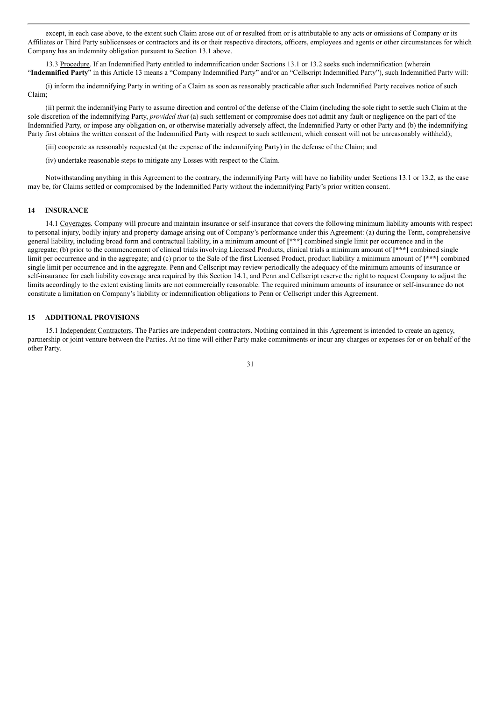except, in each case above, to the extent such Claim arose out of or resulted from or is attributable to any acts or omissions of Company or its Affiliates or Third Party sublicensees or contractors and its or their respective directors, officers, employees and agents or other circumstances for which Company has an indemnity obligation pursuant to Section 13.1 above.

13.3 Procedure. If an Indemnified Party entitled to indemnification under Sections 13.1 or 13.2 seeks such indemnification (wherein "**Indemnified Party**" in this Article 13 means a "Company Indemnified Party" and/or an "Cellscript Indemnified Party"), such Indemnified Party will:

(i) inform the indemnifying Party in writing of a Claim as soon as reasonably practicable after such Indemnified Party receives notice of such Claim;

(ii) permit the indemnifying Party to assume direction and control of the defense of the Claim (including the sole right to settle such Claim at the sole discretion of the indemnifying Party, *provided that* (a) such settlement or compromise does not admit any fault or negligence on the part of the Indemnified Party, or impose any obligation on, or otherwise materially adversely affect, the Indemnified Party or other Party and (b) the indemnifying Party first obtains the written consent of the Indemnified Party with respect to such settlement, which consent will not be unreasonably withheld);

(iii) cooperate as reasonably requested (at the expense of the indemnifying Party) in the defense of the Claim; and

(iv) undertake reasonable steps to mitigate any Losses with respect to the Claim.

Notwithstanding anything in this Agreement to the contrary, the indemnifying Party will have no liability under Sections 13.1 or 13.2, as the case may be, for Claims settled or compromised by the Indemnified Party without the indemnifying Party's prior written consent.

### **14 INSURANCE**

14.1 Coverages. Company will procure and maintain insurance or self-insurance that covers the following minimum liability amounts with respect to personal injury, bodily injury and property damage arising out of Company's performance under this Agreement: (a) during the Term, comprehensive general liability, including broad form and contractual liability, in a minimum amount of **[\*\*\*]** combined single limit per occurrence and in the aggregate; (b) prior to the commencement of clinical trials involving Licensed Products, clinical trials a minimum amount of **[\*\*\*]** combined single limit per occurrence and in the aggregate; and (c) prior to the Sale of the first Licensed Product, product liability a minimum amount of **[\*\*\*]** combined single limit per occurrence and in the aggregate. Penn and Cellscript may review periodically the adequacy of the minimum amounts of insurance or self-insurance for each liability coverage area required by this Section 14.1, and Penn and Cellscript reserve the right to request Company to adjust the limits accordingly to the extent existing limits are not commercially reasonable. The required minimum amounts of insurance or self-insurance do not constitute a limitation on Company's liability or indemnification obligations to Penn or Cellscript under this Agreement.

#### **15 ADDITIONAL PROVISIONS**

15.1 Independent Contractors. The Parties are independent contractors. Nothing contained in this Agreement is intended to create an agency, partnership or joint venture between the Parties. At no time will either Party make commitments or incur any charges or expenses for or on behalf of the other Party.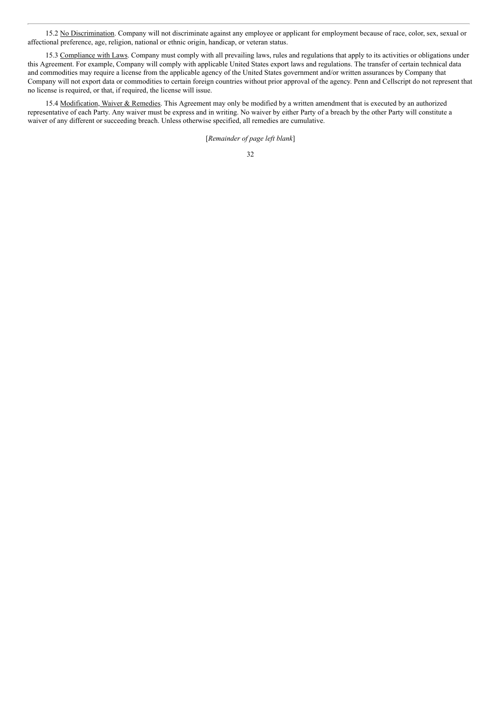15.2 No Discrimination. Company will not discriminate against any employee or applicant for employment because of race, color, sex, sexual or affectional preference, age, religion, national or ethnic origin, handicap, or veteran status.

15.3 Compliance with Laws. Company must comply with all prevailing laws, rules and regulations that apply to its activities or obligations under this Agreement. For example, Company will comply with applicable United States export laws and regulations. The transfer of certain technical data and commodities may require a license from the applicable agency of the United States government and/or written assurances by Company that Company will not export data or commodities to certain foreign countries without prior approval of the agency. Penn and Cellscript do not represent that no license is required, or that, if required, the license will issue.

15.4 Modification, Waiver & Remedies. This Agreement may only be modified by a written amendment that is executed by an authorized representative of each Party. Any waiver must be express and in writing. No waiver by either Party of a breach by the other Party will constitute a waiver of any different or succeeding breach. Unless otherwise specified, all remedies are cumulative.

[*Remainder of page left blank*]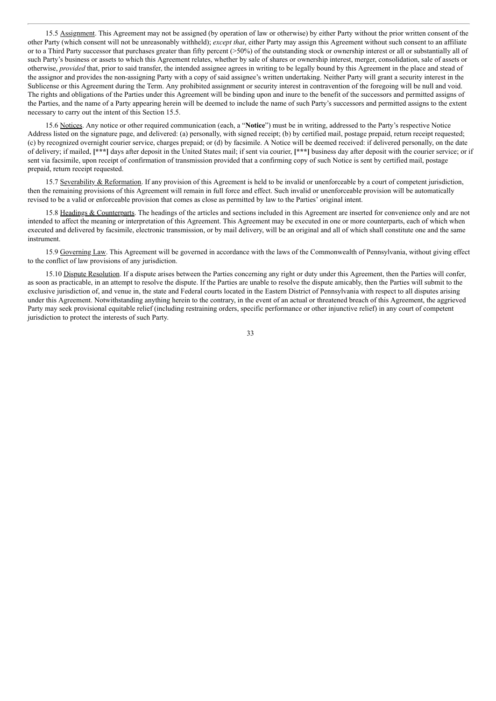15.5 Assignment. This Agreement may not be assigned (by operation of law or otherwise) by either Party without the prior written consent of the other Party (which consent will not be unreasonably withheld); *except that*, either Party may assign this Agreement without such consent to an affiliate or to a Third Party successor that purchases greater than fifty percent  $(>=50\%)$  of the outstanding stock or ownership interest or all or substantially all of such Party's business or assets to which this Agreement relates, whether by sale of shares or ownership interest, merger, consolidation, sale of assets or otherwise, *provided* that, prior to said transfer, the intended assignee agrees in writing to be legally bound by this Agreement in the place and stead of the assignor and provides the non-assigning Party with a copy of said assignee's written undertaking. Neither Party will grant a security interest in the Sublicense or this Agreement during the Term. Any prohibited assignment or security interest in contravention of the foregoing will be null and void. The rights and obligations of the Parties under this Agreement will be binding upon and inure to the benefit of the successors and permitted assigns of the Parties, and the name of a Party appearing herein will be deemed to include the name of such Party's successors and permitted assigns to the extent necessary to carry out the intent of this Section 15.5.

15.6 Notices. Any notice or other required communication (each, a "**Notice**") must be in writing, addressed to the Party's respective Notice Address listed on the signature page, and delivered: (a) personally, with signed receipt; (b) by certified mail, postage prepaid, return receipt requested; (c) by recognized overnight courier service, charges prepaid; or (d) by facsimile. A Notice will be deemed received: if delivered personally, on the date of delivery; if mailed, **[\*\*\*]** days after deposit in the United States mail; if sent via courier, **[\*\*\*]** business day after deposit with the courier service; or if sent via facsimile, upon receipt of confirmation of transmission provided that a confirming copy of such Notice is sent by certified mail, postage prepaid, return receipt requested.

15.7 Severability & Reformation. If any provision of this Agreement is held to be invalid or unenforceable by a court of competent jurisdiction, then the remaining provisions of this Agreement will remain in full force and effect. Such invalid or unenforceable provision will be automatically revised to be a valid or enforceable provision that comes as close as permitted by law to the Parties' original intent.

15.8 Headings & Counterparts. The headings of the articles and sections included in this Agreement are inserted for convenience only and are not intended to affect the meaning or interpretation of this Agreement. This Agreement may be executed in one or more counterparts, each of which when executed and delivered by facsimile, electronic transmission, or by mail delivery, will be an original and all of which shall constitute one and the same instrument.

15.9 Governing Law. This Agreement will be governed in accordance with the laws of the Commonwealth of Pennsylvania, without giving effect to the conflict of law provisions of any jurisdiction.

15.10 Dispute Resolution. If a dispute arises between the Parties concerning any right or duty under this Agreement, then the Parties will confer, as soon as practicable, in an attempt to resolve the dispute. If the Parties are unable to resolve the dispute amicably, then the Parties will submit to the exclusive jurisdiction of, and venue in, the state and Federal courts located in the Eastern District of Pennsylvania with respect to all disputes arising under this Agreement. Notwithstanding anything herein to the contrary, in the event of an actual or threatened breach of this Agreement, the aggrieved Party may seek provisional equitable relief (including restraining orders, specific performance or other injunctive relief) in any court of competent jurisdiction to protect the interests of such Party.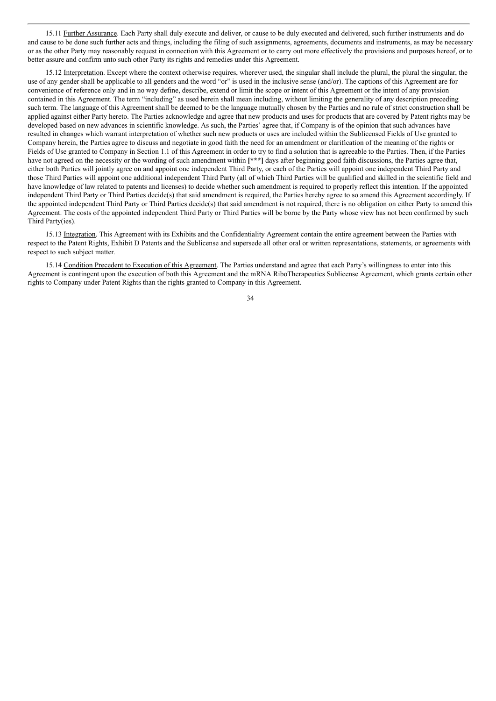15.11 Further Assurance. Each Party shall duly execute and deliver, or cause to be duly executed and delivered, such further instruments and do and cause to be done such further acts and things, including the filing of such assignments, agreements, documents and instruments, as may be necessary or as the other Party may reasonably request in connection with this Agreement or to carry out more effectively the provisions and purposes hereof, or to better assure and confirm unto such other Party its rights and remedies under this Agreement.

15.12 Interpretation. Except where the context otherwise requires, wherever used, the singular shall include the plural, the plural the singular, the use of any gender shall be applicable to all genders and the word "or" is used in the inclusive sense (and/or). The captions of this Agreement are for convenience of reference only and in no way define, describe, extend or limit the scope or intent of this Agreement or the intent of any provision contained in this Agreement. The term "including" as used herein shall mean including, without limiting the generality of any description preceding such term. The language of this Agreement shall be deemed to be the language mutually chosen by the Parties and no rule of strict construction shall be applied against either Party hereto. The Parties acknowledge and agree that new products and uses for products that are covered by Patent rights may be developed based on new advances in scientific knowledge. As such, the Parties' agree that, if Company is of the opinion that such advances have resulted in changes which warrant interpretation of whether such new products or uses are included within the Sublicensed Fields of Use granted to Company herein, the Parties agree to discuss and negotiate in good faith the need for an amendment or clarification of the meaning of the rights or Fields of Use granted to Company in Section 1.1 of this Agreement in order to try to find a solution that is agreeable to the Parties. Then, if the Parties have not agreed on the necessity or the wording of such amendment within **[\*\*\*]** days after beginning good faith discussions, the Parties agree that, either both Parties will jointly agree on and appoint one independent Third Party, or each of the Parties will appoint one independent Third Party and those Third Parties will appoint one additional independent Third Party (all of which Third Parties will be qualified and skilled in the scientific field and have knowledge of law related to patents and licenses) to decide whether such amendment is required to properly reflect this intention. If the appointed independent Third Party or Third Parties decide(s) that said amendment is required, the Parties hereby agree to so amend this Agreement accordingly. If the appointed independent Third Party or Third Parties decide(s) that said amendment is not required, there is no obligation on either Party to amend this Agreement. The costs of the appointed independent Third Party or Third Parties will be borne by the Party whose view has not been confirmed by such Third Party(ies).

15.13 Integration. This Agreement with its Exhibits and the Confidentiality Agreement contain the entire agreement between the Parties with respect to the Patent Rights, Exhibit D Patents and the Sublicense and supersede all other oral or written representations, statements, or agreements with respect to such subject matter.

15.14 Condition Precedent to Execution of this Agreement. The Parties understand and agree that each Party's willingness to enter into this Agreement is contingent upon the execution of both this Agreement and the mRNA RiboTherapeutics Sublicense Agreement, which grants certain other rights to Company under Patent Rights than the rights granted to Company in this Agreement.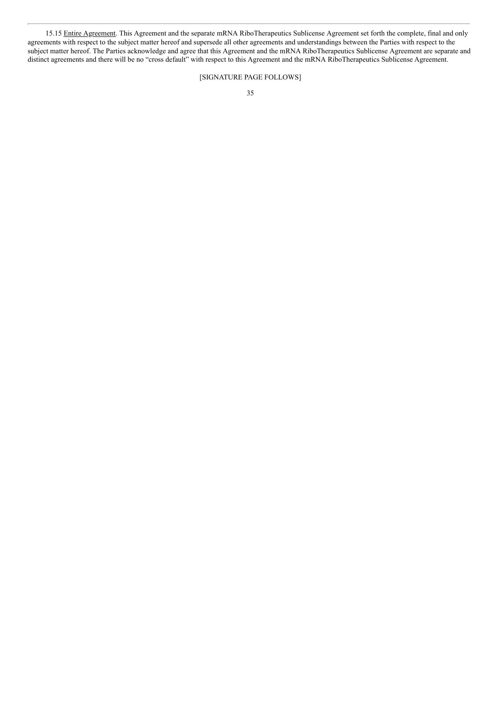15.15 Entire Agreement. This Agreement and the separate mRNA RiboTherapeutics Sublicense Agreement set forth the complete, final and only agreements with respect to the subject matter hereof and supersede all other agreements and understandings between the Parties with respect to the subject matter hereof. The Parties acknowledge and agree that this Agreement and the mRNA RiboTherapeutics Sublicense Agreement are separate and distinct agreements and there will be no "cross default" with respect to this Agreement and the mRNA RiboTherapeutics Sublicense Agreement.

# [SIGNATURE PAGE FOLLOWS]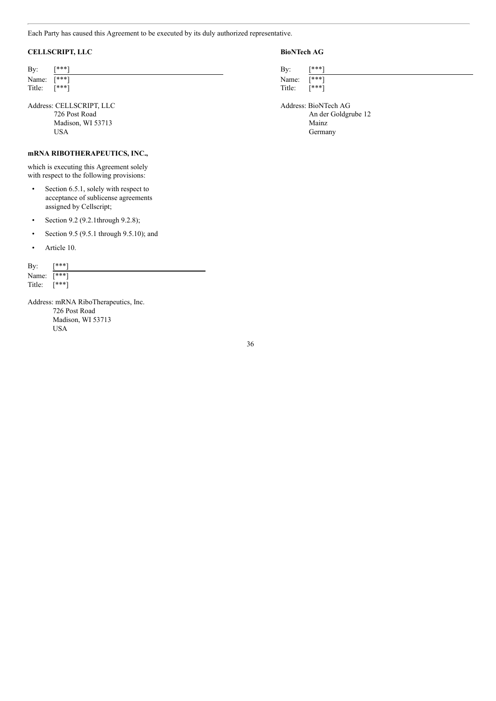Each Party has caused this Agreement to be executed by its duly authorized representative.

## **CELLSCRIPT, LLC BioNTech AG**

| By:    | [***] | Bv:    | [***] |
|--------|-------|--------|-------|
| Name:  | [***] | Name:  | [***] |
| Title: | [***] | Title: | [***] |

Address: CELLSCRIPT, LLC Address: BioNTech AG Madison, WI 53713 Mainz<br>
USA German

## **mRNA RIBOTHERAPEUTICS, INC.,**

which is executing this Agreement solely with respect to the following provisions:

- Section 6.5.1, solely with respect to acceptance of sublicense agreements assigned by Cellscript;
- Section 9.2 (9.2.1through 9.2.8);
- Section 9.5 (9.5.1 through 9.5.10); and
- Article 10.

By: [\*\*\*] Name:  $\overline{[***]}$ Title: [\*\*\*]

Address: mRNA RiboTherapeutics, Inc. 726 Post Road Madison, WI 53713 USA

726 Post Road An der Goldgrube 12 Germany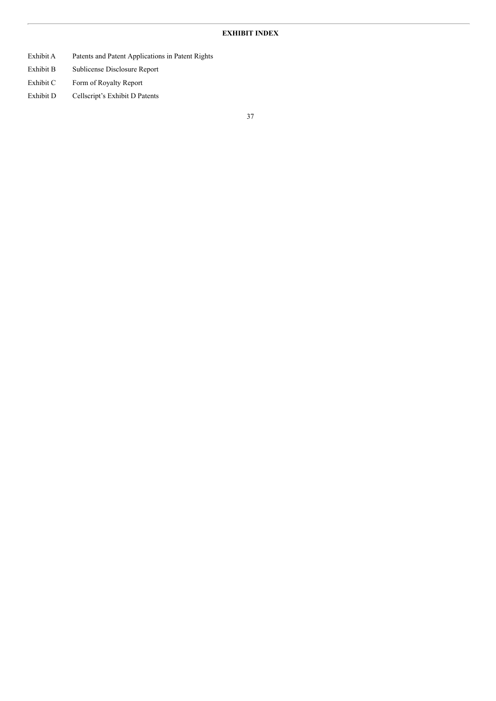# **EXHIBIT INDEX**

- Exhibit A Patents and Patent Applications in Patent Rights
- Exhibit B Sublicense Disclosure Report
- Exhibit C Form of Royalty Report
- Exhibit D Cellscript's Exhibit D Patents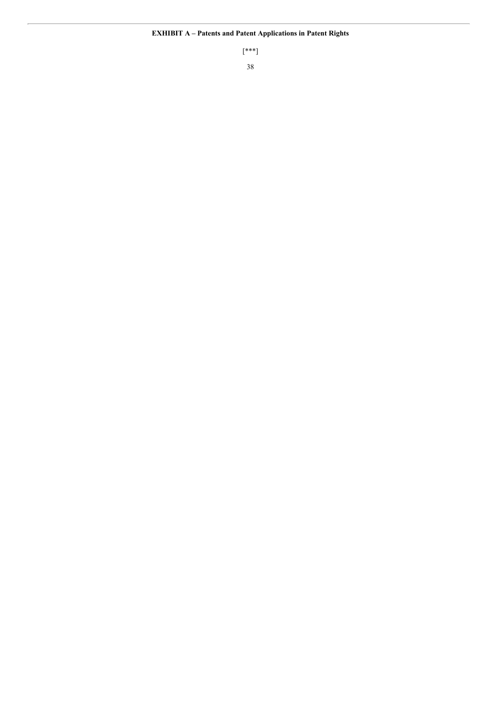[\*\*\*]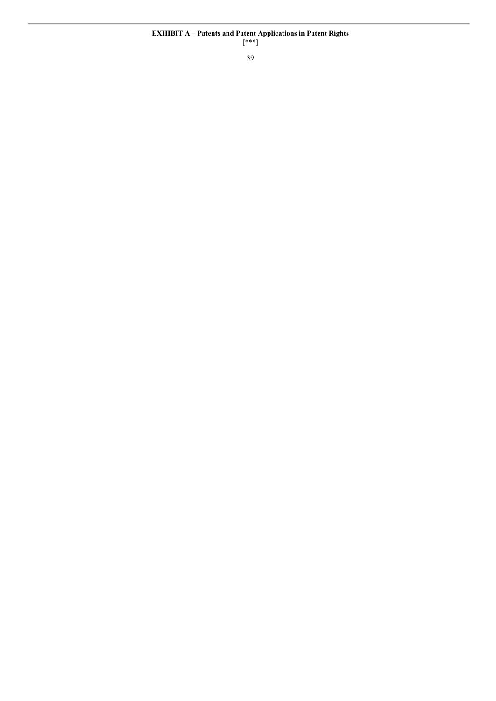[\*\*\*]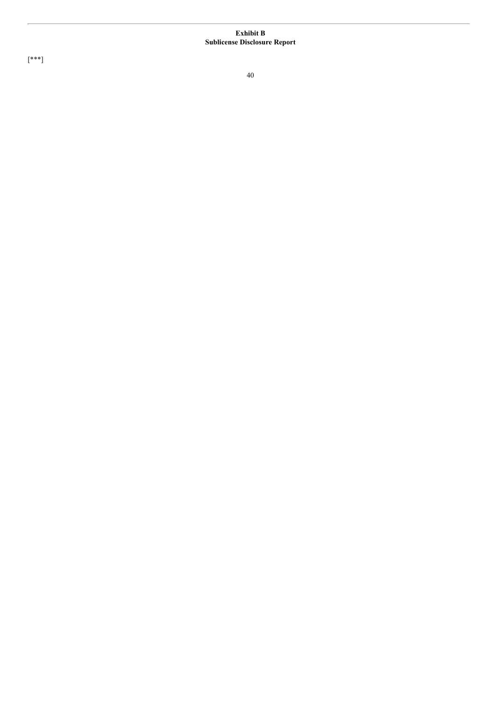#### **E x h i b i t B Sublicense Disclosure Report**

[ \* \* \* ]